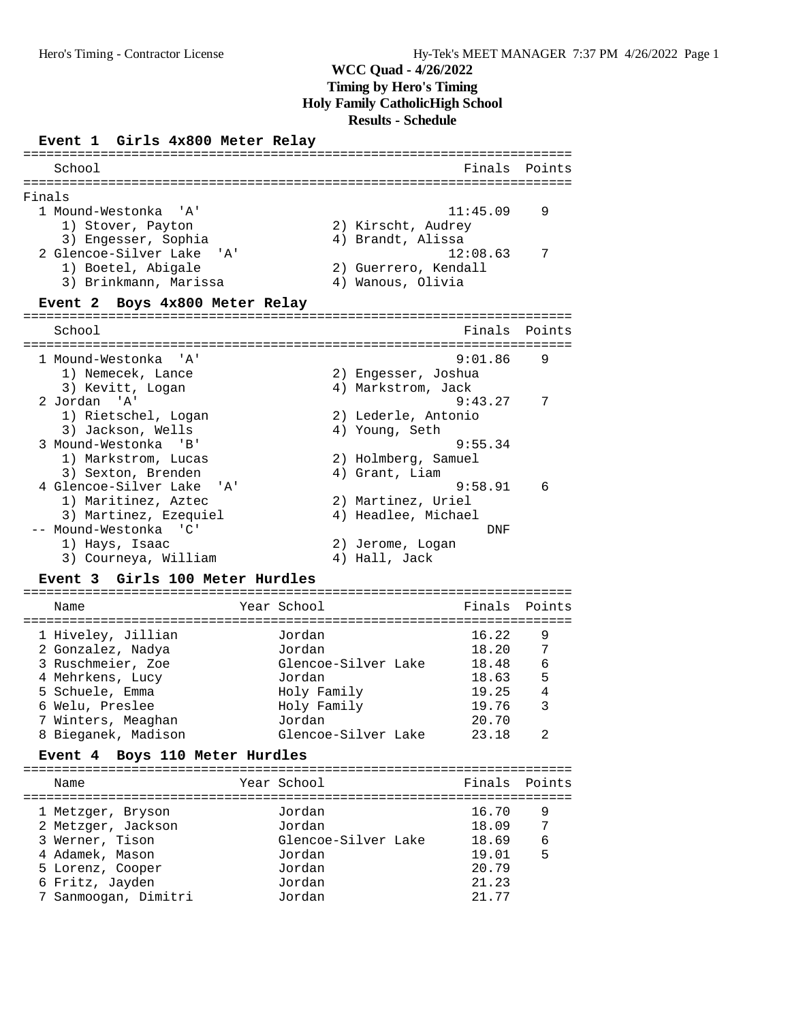# **Event 1 Girls 4x800 Meter Relay**

| School                                  | Finals               | Points |
|-----------------------------------------|----------------------|--------|
| ----                                    | ==========           |        |
| Finals<br>1 Mound-Westonka 'A'          | 11:45.09             | 9      |
| 1) Stover, Payton                       | 2) Kirscht, Audrey   |        |
| 3) Engesser, Sophia                     | 4) Brandt, Alissa    |        |
| 2 Glencoe-Silver Lake<br>י A י          | 12:08.63             | 7      |
| 1) Boetel, Abigale                      | 2) Guerrero, Kendall |        |
| 3) Brinkmann, Marissa                   | 4) Wanous, Olivia    |        |
|                                         |                      |        |
| Event 2 Boys 4x800 Meter Relay          |                      |        |
| School                                  | Finals               | Points |
|                                         |                      |        |
| 1 Mound-Westonka 'A'                    | 9:01.86              | 9      |
| 1) Nemecek, Lance                       | 2) Engesser, Joshua  |        |
| 3) Kevitt, Logan                        | 4) Markstrom, Jack   |        |
| 2 Jordan 'A'                            | 9:43.27              | 7      |
| 1) Rietschel, Logan                     | 2) Lederle, Antonio  |        |
| 3) Jackson, Wells                       | 4) Young, Seth       |        |
| 3 Mound-Westonka 'B'                    | 9:55.34              |        |
| 1) Markstrom, Lucas                     | 2) Holmberg, Samuel  |        |
| 3) Sexton, Brenden                      | 4) Grant, Liam       |        |
| 4 Glencoe-Silver Lake<br>י ב <i>ו</i> י | 9:58.91              | 6      |
| 1) Maritinez, Aztec                     | 2) Martinez, Uriel   |        |
| 3) Martinez, Ezequiel                   | 4) Headlee, Michael  |        |
| -- Mound-Westonka 'C'                   | DNF                  |        |
| 1) Hays, Isaac                          | 2) Jerome, Logan     |        |
| 3) Courneya, William                    | 4) Hall, Jack        |        |
| Girls 100 Meter Hurdles<br>Event 3      |                      |        |
| ==========================              |                      |        |

| Name                | Year School         | Finals Points |   |
|---------------------|---------------------|---------------|---|
| 1 Hiveley, Jillian  | Jordan              | 16.22         | 9 |
| 2 Gonzalez, Nadya   | Jordan              | 18.20         | 7 |
| 3 Ruschmeier, Zoe   | Glencoe-Silver Lake | 18.48         | 6 |
| 4 Mehrkens, Lucy    | Jordan              | 18.63         | 5 |
| 5 Schuele, Emma     | Holy Family         | 19.25         | 4 |
| 6 Welu, Preslee     | Holy Family         | 19.76         | 3 |
| 7 Winters, Meaghan  | Jordan              | 20.70         |   |
| 8 Bieganek, Madison | Glencoe-Silver Lake | 23.18         |   |

### **Event 4 Boys 110 Meter Hurdles**

| Name                 | Year School         | Finals Points |   |
|----------------------|---------------------|---------------|---|
| 1 Metzger, Bryson    | Jordan              | 16.70         | 9 |
| 2 Metzger, Jackson   | Jordan              | 18.09         | 7 |
| 3 Werner, Tison      | Glencoe-Silver Lake | 18.69         | 6 |
| 4 Adamek, Mason      | Jordan              | 19.01         | 5 |
| 5 Lorenz, Cooper     | Jordan              | 20.79         |   |
| 6 Fritz, Jayden      | Jordan              | 21.23         |   |
| 7 Sanmoogan, Dimitri | Jordan              | 21 77         |   |
|                      |                     |               |   |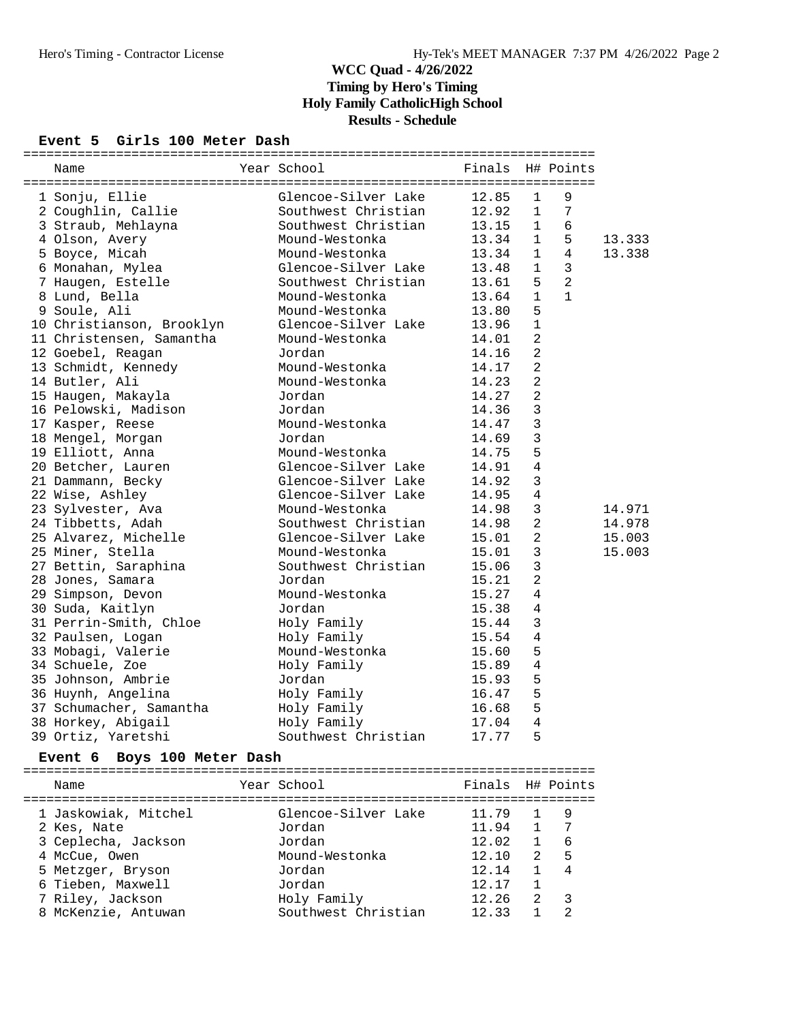### **Event 5 Girls 100 Meter Dash**

| Name                      | Year School         | Finals |                | H# Points      |        |
|---------------------------|---------------------|--------|----------------|----------------|--------|
| 1 Sonju, Ellie            | Glencoe-Silver Lake | 12.85  | $\mathbf{1}$   | 9              |        |
| 2 Coughlin, Callie        | Southwest Christian | 12.92  | $\mathbf{1}$   | $\sqrt{ }$     |        |
| 3 Straub, Mehlayna        | Southwest Christian | 13.15  | $\mathbf{1}$   | $\sqrt{6}$     |        |
| 4 Olson, Avery            | Mound-Westonka      | 13.34  | $\mathbf{1}$   | 5              | 13.333 |
| 5 Boyce, Micah            | Mound-Westonka      | 13.34  | $\mathbf{1}$   | $\overline{4}$ | 13.338 |
| 6 Monahan, Mylea          | Glencoe-Silver Lake | 13.48  | $\mathbf{1}$   | 3              |        |
| 7 Haugen, Estelle         | Southwest Christian | 13.61  | 5              | $\overline{2}$ |        |
| 8 Lund, Bella             | Mound-Westonka      | 13.64  | $\mathbf 1$    | $\mathbf{1}$   |        |
| 9 Soule, Ali              | Mound-Westonka      | 13.80  | 5              |                |        |
| 10 Christianson, Brooklyn | Glencoe-Silver Lake | 13.96  | $\mathbf{1}$   |                |        |
| 11 Christensen, Samantha  | Mound-Westonka      | 14.01  | $\overline{2}$ |                |        |
| 12 Goebel, Reagan         | Jordan              | 14.16  | $\overline{2}$ |                |        |
| 13 Schmidt, Kennedy       | Mound-Westonka      | 14.17  | 2              |                |        |
| 14 Butler, Ali            | Mound-Westonka      | 14.23  | 2              |                |        |
| 15 Haugen, Makayla        | Jordan              | 14.27  | $\overline{2}$ |                |        |
| 16 Pelowski, Madison      | Jordan              | 14.36  | $\mathbf{3}$   |                |        |
| 17 Kasper, Reese          | Mound-Westonka      | 14.47  | 3              |                |        |
| 18 Mengel, Morgan         | Jordan              | 14.69  | 3              |                |        |
| 19 Elliott, Anna          | Mound-Westonka      | 14.75  | 5              |                |        |
| 20 Betcher, Lauren        | Glencoe-Silver Lake | 14.91  | $\sqrt{4}$     |                |        |
| 21 Dammann, Becky         | Glencoe-Silver Lake | 14.92  | $\mathbf{3}$   |                |        |
| 22 Wise, Ashley           | Glencoe-Silver Lake | 14.95  | 4              |                |        |
| 23 Sylvester, Ava         | Mound-Westonka      | 14.98  | 3              |                | 14.971 |
| 24 Tibbetts, Adah         | Southwest Christian | 14.98  | $\overline{2}$ |                | 14.978 |
| 25 Alvarez, Michelle      | Glencoe-Silver Lake | 15.01  | 2              |                | 15.003 |
| 25 Miner, Stella          | Mound-Westonka      | 15.01  | 3              |                | 15.003 |
| 27 Bettin, Saraphina      | Southwest Christian | 15.06  | 3              |                |        |
| 28 Jones, Samara          | Jordan              | 15.21  | 2              |                |        |
| 29 Simpson, Devon         | Mound-Westonka      | 15.27  | $\sqrt{4}$     |                |        |
| 30 Suda, Kaitlyn          | Jordan              | 15.38  | 4              |                |        |
| 31 Perrin-Smith, Chloe    | Holy Family         | 15.44  | 3              |                |        |
| 32 Paulsen, Logan         | Holy Family         | 15.54  | 4              |                |        |
| 33 Mobagi, Valerie        | Mound-Westonka      | 15.60  | 5              |                |        |
| 34 Schuele, Zoe           | Holy Family         | 15.89  | $\bf 4$        |                |        |
| 35 Johnson, Ambrie        | Jordan              | 15.93  | 5              |                |        |
| 36 Huynh, Angelina        | Holy Family         | 16.47  | 5              |                |        |
| 37 Schumacher, Samantha   | Holy Family         | 16.68  | 5              |                |        |
| 38 Horkey, Abigail        | Holy Family         | 17.04  | $\sqrt{4}$     |                |        |
| 39 Ortiz, Yaretshi        | Southwest Christian | 17.77  | 5              |                |        |

### **Event 6 Boys 100 Meter Dash**

| Name                 | Year School         | Finals H# Points |                |                |
|----------------------|---------------------|------------------|----------------|----------------|
| 1 Jaskowiak, Mitchel | Glencoe-Silver Lake | 11.79            |                | 9              |
| 2 Kes, Nate          | Jordan              | 11.94            | 1              |                |
| 3 Ceplecha, Jackson  | Jordan              | 12.02            |                | 6              |
| 4 McCue, Owen        | Mound-Westonka      | 12.10            | $2^{1}$        | 5              |
| 5 Metzger, Bryson    | Jordan              | 12.14            |                | $\overline{4}$ |
| 6 Tieben, Maxwell    | Jordan              | 12.17            |                |                |
| 7 Riley, Jackson     | Holy Family         | 12.26            | $\mathfrak{D}$ | 3              |
| 8 McKenzie, Antuwan  | Southwest Christian | 12.33            |                | っ              |
|                      |                     |                  |                |                |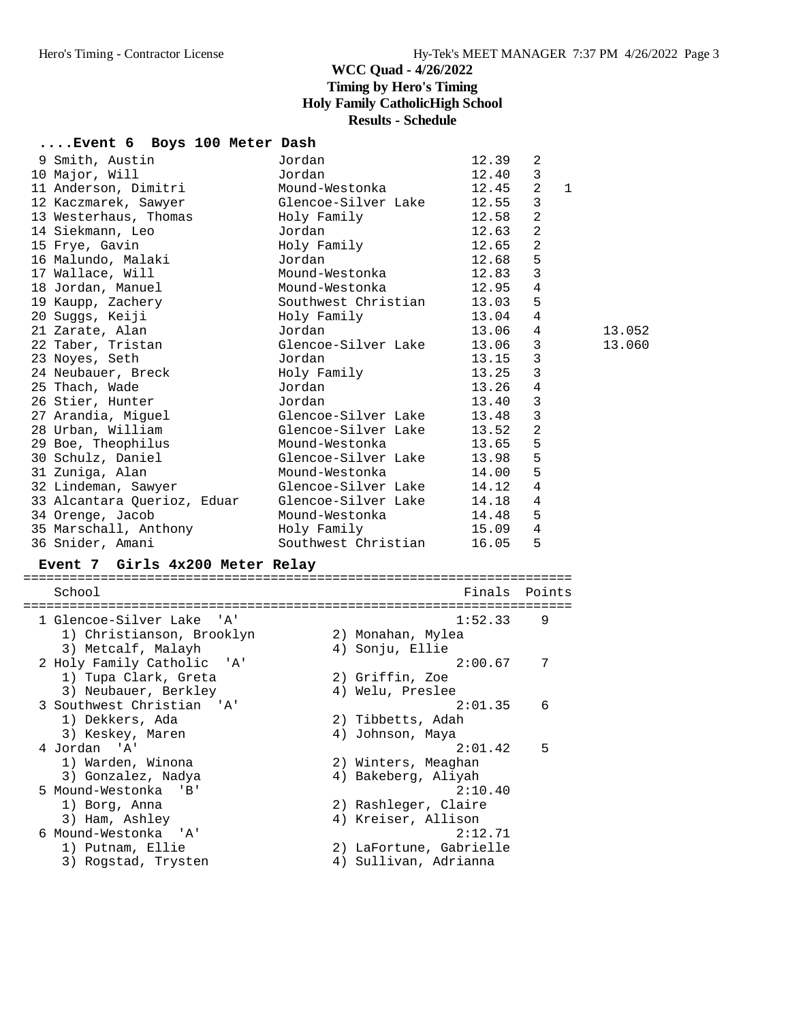## **....Event 6 Boys 100 Meter Dash**

| $\mathbf{3}$<br>Jordan<br>10 Major, Will<br>12.40<br>11 Anderson, Dimitri<br>2<br>Mound-Westonka<br>12.45<br>$\mathbf{1}$<br>3<br>Glencoe-Silver Lake 12.55<br>12 Kaczmarek, Sawyer<br>2<br>13 Westerhaus, Thomas<br>12.58<br>Holy Family<br>$\overline{2}$<br>14 Siekmann, Leo<br>Jordan<br>12.63<br>$\overline{a}$<br>15 Frye, Gavin<br>Holy Family<br>12.65<br>16 Malundo, Malaki<br>5<br>Jordan<br>12.68<br>3<br>Mound-Westonka<br>17 Wallace, Will<br>12.83<br>$\sqrt{4}$<br>18 Jordan, Manuel<br>Mound-Westonka<br>12.95<br>5<br>19 Kaupp, Zachery<br>Southwest Christian 13.03<br>4<br>Holy Family<br>13.04<br>20 Suggs, Keiji<br>4<br>Jordan<br>13.06<br>21 Zarate, Alan<br>3<br>Glencoe-Silver Lake<br>13.06<br>22 Taber, Tristan<br>3<br>13.15<br>23 Noyes, Seth<br>Jordan<br>3<br>24 Neubauer, Breck<br>Holy Family<br>13.25<br>4<br>25 Thach, Wade<br>Jordan<br>13.26<br>3<br>26 Stier, Hunter<br>Jordan<br>13.40<br>$\mathbf{3}$<br>27 Arandia, Miguel<br>Glencoe-Silver Lake<br>13.48<br>$\overline{2}$<br>Glencoe-Silver Lake 13.52<br>28 Urban, William<br>5<br>Mound-Westonka<br>29 Boe, Theophilus<br>13.65<br>5<br>30 Schulz, Daniel<br>Glencoe-Silver Lake<br>13.98<br>5<br>31 Zuniga, Alan<br>Mound-Westonka<br>14.00<br>4<br>Glencoe-Silver Lake 14.12<br>32 Lindeman, Sawyer<br>$\overline{4}$<br>Glencoe-Silver Lake 14.18<br>33 Alcantara Querioz, Eduar<br>5<br>Mound-Westonka<br>14.48<br>34 Orenge, Jacob<br>4<br>Holy Family 15.09<br>35 Marschall, Anthony<br>5<br>Southwest Christian<br>16.05<br>36 Snider, Amani | 9 Smith, Austin | Jordan | 12.39 | 2 |        |
|---------------------------------------------------------------------------------------------------------------------------------------------------------------------------------------------------------------------------------------------------------------------------------------------------------------------------------------------------------------------------------------------------------------------------------------------------------------------------------------------------------------------------------------------------------------------------------------------------------------------------------------------------------------------------------------------------------------------------------------------------------------------------------------------------------------------------------------------------------------------------------------------------------------------------------------------------------------------------------------------------------------------------------------------------------------------------------------------------------------------------------------------------------------------------------------------------------------------------------------------------------------------------------------------------------------------------------------------------------------------------------------------------------------------------------------------------------------------------------------------------------------------------------------------------|-----------------|--------|-------|---|--------|
|                                                                                                                                                                                                                                                                                                                                                                                                                                                                                                                                                                                                                                                                                                                                                                                                                                                                                                                                                                                                                                                                                                                                                                                                                                                                                                                                                                                                                                                                                                                                                   |                 |        |       |   |        |
|                                                                                                                                                                                                                                                                                                                                                                                                                                                                                                                                                                                                                                                                                                                                                                                                                                                                                                                                                                                                                                                                                                                                                                                                                                                                                                                                                                                                                                                                                                                                                   |                 |        |       |   |        |
|                                                                                                                                                                                                                                                                                                                                                                                                                                                                                                                                                                                                                                                                                                                                                                                                                                                                                                                                                                                                                                                                                                                                                                                                                                                                                                                                                                                                                                                                                                                                                   |                 |        |       |   |        |
|                                                                                                                                                                                                                                                                                                                                                                                                                                                                                                                                                                                                                                                                                                                                                                                                                                                                                                                                                                                                                                                                                                                                                                                                                                                                                                                                                                                                                                                                                                                                                   |                 |        |       |   |        |
|                                                                                                                                                                                                                                                                                                                                                                                                                                                                                                                                                                                                                                                                                                                                                                                                                                                                                                                                                                                                                                                                                                                                                                                                                                                                                                                                                                                                                                                                                                                                                   |                 |        |       |   |        |
|                                                                                                                                                                                                                                                                                                                                                                                                                                                                                                                                                                                                                                                                                                                                                                                                                                                                                                                                                                                                                                                                                                                                                                                                                                                                                                                                                                                                                                                                                                                                                   |                 |        |       |   |        |
|                                                                                                                                                                                                                                                                                                                                                                                                                                                                                                                                                                                                                                                                                                                                                                                                                                                                                                                                                                                                                                                                                                                                                                                                                                                                                                                                                                                                                                                                                                                                                   |                 |        |       |   |        |
|                                                                                                                                                                                                                                                                                                                                                                                                                                                                                                                                                                                                                                                                                                                                                                                                                                                                                                                                                                                                                                                                                                                                                                                                                                                                                                                                                                                                                                                                                                                                                   |                 |        |       |   |        |
|                                                                                                                                                                                                                                                                                                                                                                                                                                                                                                                                                                                                                                                                                                                                                                                                                                                                                                                                                                                                                                                                                                                                                                                                                                                                                                                                                                                                                                                                                                                                                   |                 |        |       |   |        |
|                                                                                                                                                                                                                                                                                                                                                                                                                                                                                                                                                                                                                                                                                                                                                                                                                                                                                                                                                                                                                                                                                                                                                                                                                                                                                                                                                                                                                                                                                                                                                   |                 |        |       |   |        |
|                                                                                                                                                                                                                                                                                                                                                                                                                                                                                                                                                                                                                                                                                                                                                                                                                                                                                                                                                                                                                                                                                                                                                                                                                                                                                                                                                                                                                                                                                                                                                   |                 |        |       |   |        |
|                                                                                                                                                                                                                                                                                                                                                                                                                                                                                                                                                                                                                                                                                                                                                                                                                                                                                                                                                                                                                                                                                                                                                                                                                                                                                                                                                                                                                                                                                                                                                   |                 |        |       |   | 13.052 |
|                                                                                                                                                                                                                                                                                                                                                                                                                                                                                                                                                                                                                                                                                                                                                                                                                                                                                                                                                                                                                                                                                                                                                                                                                                                                                                                                                                                                                                                                                                                                                   |                 |        |       |   | 13.060 |
|                                                                                                                                                                                                                                                                                                                                                                                                                                                                                                                                                                                                                                                                                                                                                                                                                                                                                                                                                                                                                                                                                                                                                                                                                                                                                                                                                                                                                                                                                                                                                   |                 |        |       |   |        |
|                                                                                                                                                                                                                                                                                                                                                                                                                                                                                                                                                                                                                                                                                                                                                                                                                                                                                                                                                                                                                                                                                                                                                                                                                                                                                                                                                                                                                                                                                                                                                   |                 |        |       |   |        |
|                                                                                                                                                                                                                                                                                                                                                                                                                                                                                                                                                                                                                                                                                                                                                                                                                                                                                                                                                                                                                                                                                                                                                                                                                                                                                                                                                                                                                                                                                                                                                   |                 |        |       |   |        |
|                                                                                                                                                                                                                                                                                                                                                                                                                                                                                                                                                                                                                                                                                                                                                                                                                                                                                                                                                                                                                                                                                                                                                                                                                                                                                                                                                                                                                                                                                                                                                   |                 |        |       |   |        |
|                                                                                                                                                                                                                                                                                                                                                                                                                                                                                                                                                                                                                                                                                                                                                                                                                                                                                                                                                                                                                                                                                                                                                                                                                                                                                                                                                                                                                                                                                                                                                   |                 |        |       |   |        |
|                                                                                                                                                                                                                                                                                                                                                                                                                                                                                                                                                                                                                                                                                                                                                                                                                                                                                                                                                                                                                                                                                                                                                                                                                                                                                                                                                                                                                                                                                                                                                   |                 |        |       |   |        |
|                                                                                                                                                                                                                                                                                                                                                                                                                                                                                                                                                                                                                                                                                                                                                                                                                                                                                                                                                                                                                                                                                                                                                                                                                                                                                                                                                                                                                                                                                                                                                   |                 |        |       |   |        |
|                                                                                                                                                                                                                                                                                                                                                                                                                                                                                                                                                                                                                                                                                                                                                                                                                                                                                                                                                                                                                                                                                                                                                                                                                                                                                                                                                                                                                                                                                                                                                   |                 |        |       |   |        |
|                                                                                                                                                                                                                                                                                                                                                                                                                                                                                                                                                                                                                                                                                                                                                                                                                                                                                                                                                                                                                                                                                                                                                                                                                                                                                                                                                                                                                                                                                                                                                   |                 |        |       |   |        |
|                                                                                                                                                                                                                                                                                                                                                                                                                                                                                                                                                                                                                                                                                                                                                                                                                                                                                                                                                                                                                                                                                                                                                                                                                                                                                                                                                                                                                                                                                                                                                   |                 |        |       |   |        |
|                                                                                                                                                                                                                                                                                                                                                                                                                                                                                                                                                                                                                                                                                                                                                                                                                                                                                                                                                                                                                                                                                                                                                                                                                                                                                                                                                                                                                                                                                                                                                   |                 |        |       |   |        |
|                                                                                                                                                                                                                                                                                                                                                                                                                                                                                                                                                                                                                                                                                                                                                                                                                                                                                                                                                                                                                                                                                                                                                                                                                                                                                                                                                                                                                                                                                                                                                   |                 |        |       |   |        |
|                                                                                                                                                                                                                                                                                                                                                                                                                                                                                                                                                                                                                                                                                                                                                                                                                                                                                                                                                                                                                                                                                                                                                                                                                                                                                                                                                                                                                                                                                                                                                   |                 |        |       |   |        |
|                                                                                                                                                                                                                                                                                                                                                                                                                                                                                                                                                                                                                                                                                                                                                                                                                                                                                                                                                                                                                                                                                                                                                                                                                                                                                                                                                                                                                                                                                                                                                   |                 |        |       |   |        |

### **Event 7 Girls 4x200 Meter Relay**

| School                     |    | Finals                  | Points |
|----------------------------|----|-------------------------|--------|
| 1 Glencoe-Silver Lake 'A'  |    | 1:52.33                 | 9      |
| 1) Christianson, Brooklyn  |    | 2) Monahan, Mylea       |        |
| 3) Metcalf, Malayh         |    | 4) Sonju, Ellie         |        |
| 2 Holy Family Catholic 'A' |    | 2:00.67                 | 7      |
| 1) Tupa Clark, Greta       |    | 2) Griffin, Zoe         |        |
| 3) Neubauer, Berkley       |    | 4) Welu, Preslee        |        |
| 3 Southwest Christian 'A'  |    | 2:01.35                 | 6      |
| 1) Dekkers, Ada            |    | 2) Tibbetts, Adah       |        |
| 3) Keskey, Maren           | 4) | Johnson, Maya           |        |
| 4 Jordan 'A'               |    | 2:01.42                 | 5      |
| 1) Warden, Winona          |    | 2) Winters, Meaghan     |        |
| 3) Gonzalez, Nadya         |    | 4) Bakeberg, Aliyah     |        |
| 5 Mound-Westonka 'B'       |    | 2:10.40                 |        |
| 1) Borg, Anna              |    | 2) Rashleger, Claire    |        |
| 3) Ham, Ashley             |    | 4) Kreiser, Allison     |        |
| 6 Mound-Westonka 'A'       |    | 2:12.71                 |        |
| 1) Putnam, Ellie           |    | 2) LaFortune, Gabrielle |        |
| 3) Rogstad, Trysten        |    | 4) Sullivan, Adrianna   |        |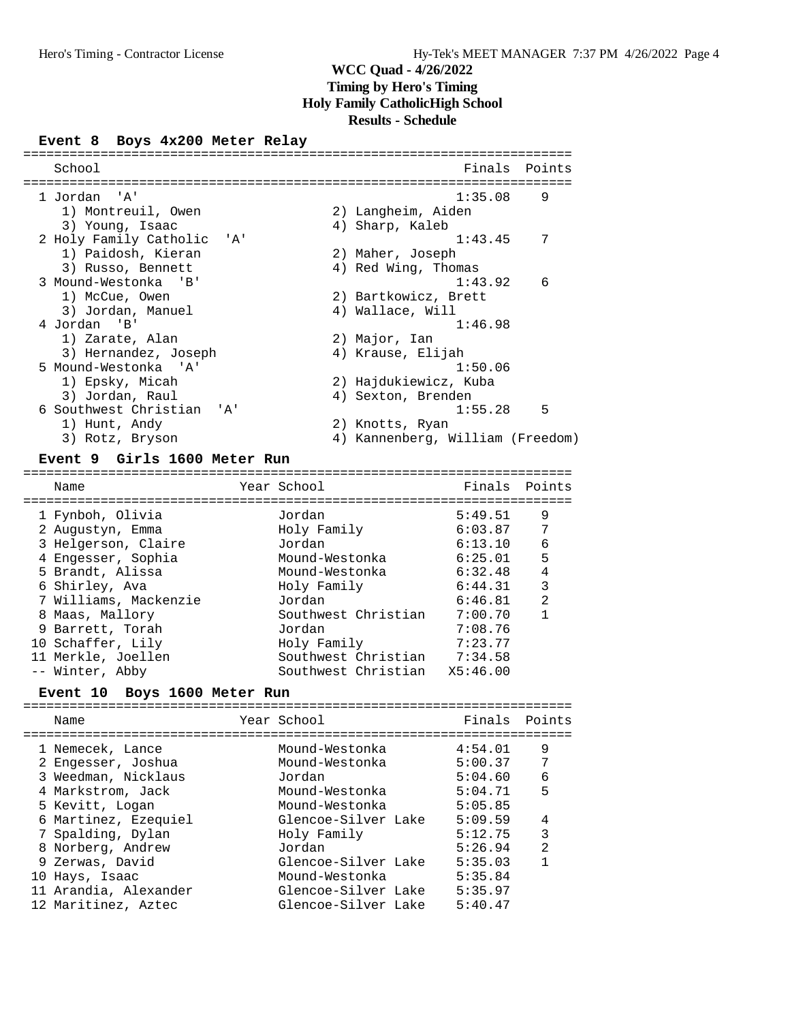#### **Event 8 Boys 4x200 Meter Relay**

| School                     | Finals<br>Points                    |
|----------------------------|-------------------------------------|
|                            |                                     |
| 1 Jordan 'A'               | 1:35.08<br>9                        |
| 1) Montreuil, Owen         | 2) Langheim, Aiden                  |
| 3) Young, Isaac            | 4) Sharp, Kaleb                     |
| 2 Holy Family Catholic 'A' | 7<br>1:43.45                        |
| 1) Paidosh, Kieran         | 2) Maher, Joseph                    |
| 3) Russo, Bennett          | 4) Red Wing, Thomas                 |
| 3 Mound-Westonka 'B'       | 6<br>1:43.92                        |
| 1) McCue, Owen             | 2) Bartkowicz, Brett                |
| 3) Jordan, Manuel          | 4) Wallace, Will                    |
| 4 Jordan 'B'               | 1:46.98                             |
| 1) Zarate, Alan            | 2) Major, Ian                       |
| 3) Hernandez, Joseph       | 4) Krause, Elijah                   |
| 5 Mound-Westonka 'A'       | 1:50.06                             |
| 1) Epsky, Micah            | 2) Hajdukiewicz, Kuba               |
| 3) Jordan, Raul            | 4) Sexton, Brenden                  |
| 6 Southwest Christian 'A'  | 5<br>1:55.28                        |
| 1) Hunt, Andy              | 2) Knotts, Ryan                     |
| 3) Rotz, Bryson            | Kannenberg, William (Freedom)<br>4) |
|                            |                                     |

#### **Event 9 Girls 1600 Meter Run**

======================================================================= Name Year School Finals Points ======================================================================= 1 Fynboh, Olivia Jordan 5:49.51 9 2 Augustyn, Emma Holy Family 6:03.87 7 3 Helgerson, Claire Jordan 6:13.10 6 4 Engesser, Sophia Mound-Westonka 6:25.01 5 5 Brandt, Alissa Mound-Westonka 6:32.48 4 6 Shirley, Ava Holy Family 6:44.31 3 7 Williams, Mackenzie Jordan 6:46.81 2 8 Maas, Mallory Southwest Christian 7:00.70 1 9 Barrett, Torah Jordan 7:08.76 10 Schaffer, Lily Holy Family 7:23.77 11 Merkle, Joellen Southwest Christian 7:34.58 -- Winter, Abby Southwest Christian X5:46.00

#### **Event 10 Boys 1600 Meter Run**

|  | Name                                   | Year School                      | Finals             | Points         |
|--|----------------------------------------|----------------------------------|--------------------|----------------|
|  | 1 Nemecek, Lance<br>2 Engesser, Joshua | Mound-Westonka<br>Mound-Westonka | 4:54.01<br>5:00.37 | 9<br>7         |
|  | 3 Weedman, Nicklaus                    | Jordan                           | 5:04.60            | 6              |
|  | 4 Markstrom, Jack                      | Mound-Westonka                   | 5:04.71            | 5              |
|  | 5 Kevitt, Logan                        | Mound-Westonka                   | 5:05.85            |                |
|  | 6 Martinez, Ezequiel                   | Glencoe-Silver Lake              | 5:09.59            | 4              |
|  | 7 Spalding, Dylan                      | Holy Family                      | 5:12.75            | 3              |
|  | 8 Norberg, Andrew                      | Jordan                           | 5:26.94            | $\mathfrak{D}$ |
|  | 9 Zerwas, David                        | Glencoe-Silver Lake              | 5:35.03            | 1              |
|  | 10 Hays, Isaac                         | Mound-Westonka                   | 5:35.84            |                |
|  | 11 Arandia, Alexander                  | Glencoe-Silver Lake              | 5:35.97            |                |
|  | 12 Maritinez, Aztec                    | Glencoe-Silver Lake              | 5:40.47            |                |
|  |                                        |                                  |                    |                |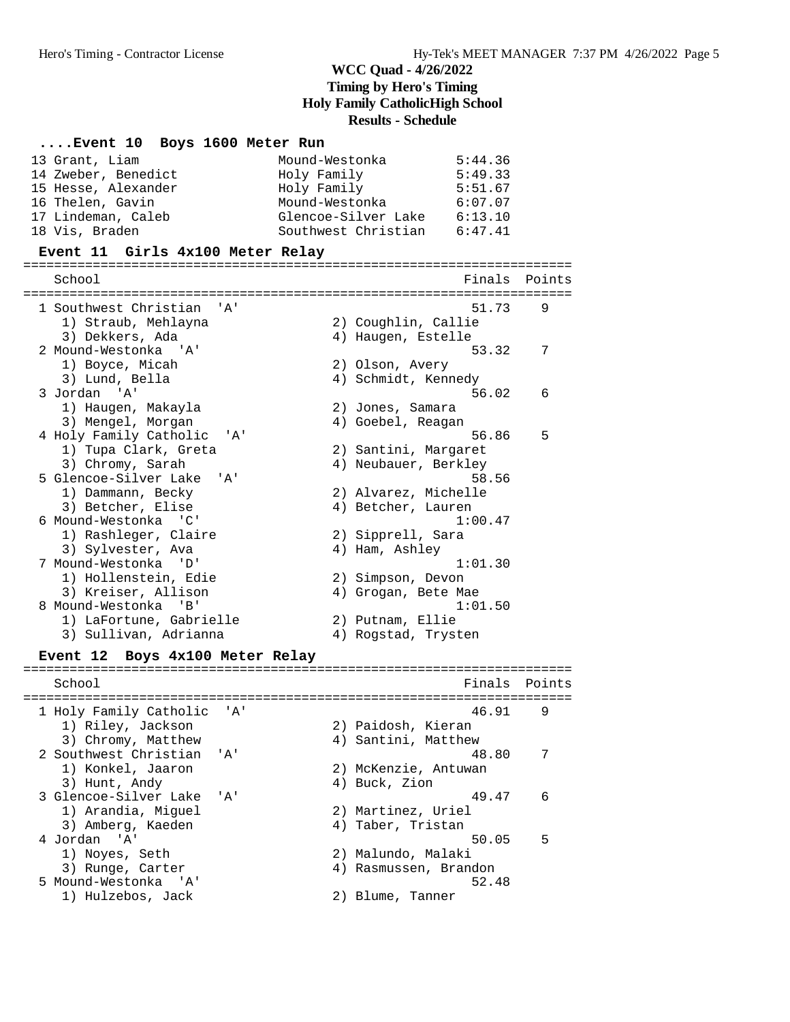#### **....Event 10 Boys 1600 Meter Run**

| 13 Grant, Liam      | Mound-Westonka      | 5:44.36 |
|---------------------|---------------------|---------|
| 14 Zweber, Benedict | Holy Family         | 5:49.33 |
| 15 Hesse, Alexander | Holy Family         | 5:51.67 |
| 16 Thelen, Gavin    | Mound-Westonka      | 6:07.07 |
| 17 Lindeman, Caleb  | Glencoe-Silver Lake | 6:13.10 |
| 18 Vis, Braden      | Southwest Christian | 6:47.41 |

#### **Event 11 Girls 4x100 Meter Relay**

======================================================================= School **Finals** Points ======================================================================= 1 Southwest Christian 'A' 51.73 9 1) Straub, Mehlayna 2) Coughlin, Callie 3) Dekkers, Ada (4) Haugen, Estelle 2 Mound-Westonka 'A' 53.32 7 1) Boyce, Micah 2) Olson, Avery 2 Hound Western 2 (1)<br>
1) Boyce, Micah 2) Olson, Avery<br>
3) Lund, Bella 4) Schmidt, Kennedy<br>
3 Jordan 'A' 56  $56.02$  6 1) Haugen, Makayla<br>2) Jones, Samara 1) Haugen, Makayla (2) Jones, Samara<br>3) Mengel, Morgan (4) Goebel, Reagan 4 Holy Family Catholic 'A' 56.86 5 1) Tupa Clark, Greta 1) Tupa Clark, Greta (2) Santini, Margaret<br>3) Chromy, Sarah (4) Neubauer, Berkley 5 Glencoe-Silver Lake 'A' 58.56<br>
1) Dammann, Becky 2) Alvarez, Michelle<br>
3) Betcher, Elise 4) Betcher, Lauren 1) Dammann, Becky 2) Alvarez, Michelle 3) Betcher, Elise (4) Betcher, Lauren 6 Mound-Westonka 'C' 1:00.47 1) Rashleger, Claire (2) 2) Sipprell, Sara 3) Sylvester, Ava 4) Ham, Ashley 7 Mound-Westonka 'D' 1:01.30 1) Hollenstein, Edie 2) Simpson, Devon 3) Kreiser, Allison 4) Grogan, Bete Mae 3) Kreiser, Allison (and Allison (and Allison (and Allison (and Allison (and Allison (and Allison (and Allison (and Allison (and Allison (and Allison (and Allison (and Allison (and Allison (and Allison (and Allison (and Al 1) LaFortune, Gabrielle 2) Putnam, Ellie 3) Sullivan, Adrianna (4) Rogstad, Trysten

# **Event 12 Boys 4x100 Meter Relay** =======================================================================

School **Finals** Points ======================================================================= 1 Holy Family Catholic 'A' 46.91 9<br>1) Riley, Jackson 2) Paidosh, Kieran 1) Riley, Jackson 2) Paidosh, Kieran 3) Chromy, Matthew 4) Santini, Matthew 2 Southwest Christian 'A' 48.80 7<br>1) Konkel, Jaaron 2) McKenzie, Antuwan<br>2) Music Christian 1, Puel, Eigen 1) Konkel, Jaaron 2) McKenzie, Antuwan 3) Hunt, Andy (4) Buck, Zion 3 Glencoe-Silver Lake 'A' 49.47 6<br>1) Arandia, Miguel 2) Martinez, Uriel 1) Arandia, Miguel 2) Martinez, Uriel 3) Amberg, Kaeden 1988 (4) Taber, Tristan 4 Jordan 'A' 50.05 5 1) Noyes, Seth 2) Malundo, Malaki 3) Runge, Carter 4) Rasmussen, Brandon 5 Mound-Westonka 'A' 52.48 1) Hulzebos, Jack 2) Blume, Tanner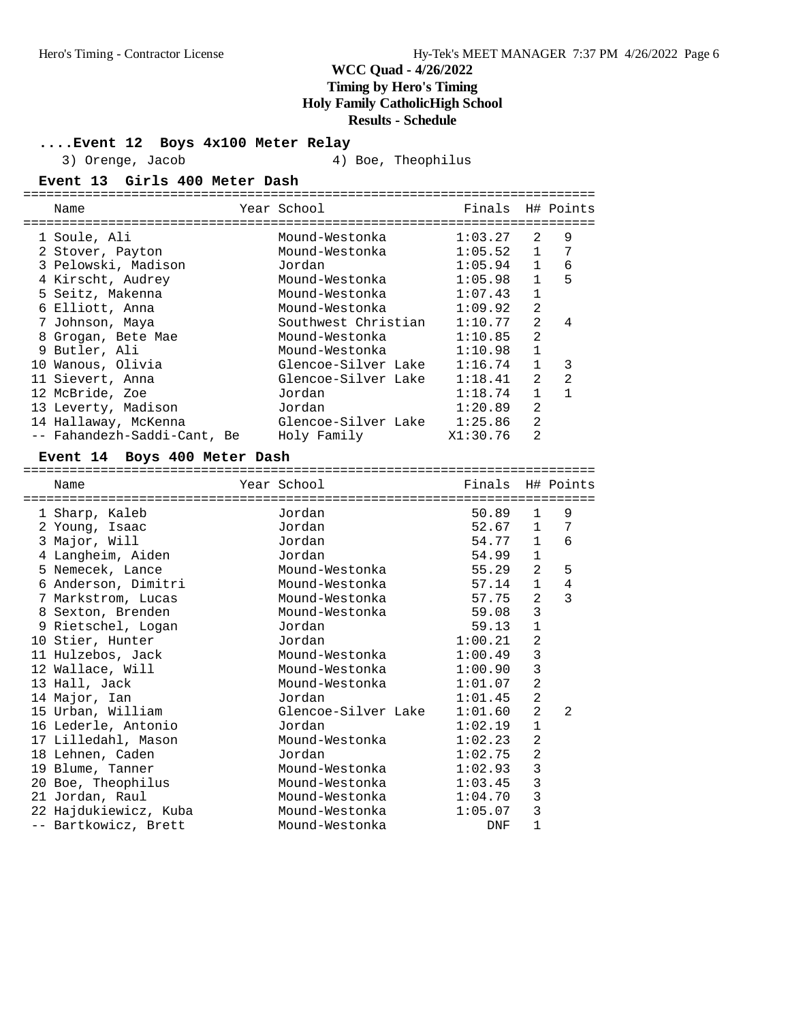### **....Event 12 Boys 4x100 Meter Relay**

3) Orenge, Jacob 4) Boe, Theophilus

### **Event 13 Girls 400 Meter Dash**

| Name             |                                                                                                                                                                                                                                                                    |                             |             |                |                             |
|------------------|--------------------------------------------------------------------------------------------------------------------------------------------------------------------------------------------------------------------------------------------------------------------|-----------------------------|-------------|----------------|-----------------------------|
|                  |                                                                                                                                                                                                                                                                    |                             |             |                |                             |
|                  |                                                                                                                                                                                                                                                                    | Mound-Westonka              | 1:03.27     | $2^{1}$        | 9                           |
|                  |                                                                                                                                                                                                                                                                    | Mound-Westonka              |             | $\mathbf{1}$   | 7                           |
|                  |                                                                                                                                                                                                                                                                    | Jordan                      | 1:05.94     | $\mathbf{1}$   | 6                           |
|                  |                                                                                                                                                                                                                                                                    | Mound-Westonka              | 1:05.98     | $\mathbf{1}$   | 5                           |
|                  |                                                                                                                                                                                                                                                                    | Mound-Westonka              | 1:07.43     | 1              |                             |
|                  |                                                                                                                                                                                                                                                                    | Mound-Westonka              | 1:09.92     | $\mathfrak{D}$ |                             |
|                  |                                                                                                                                                                                                                                                                    | Southwest Christian         | 1:10.77     | $\mathfrak{D}$ | 4                           |
| Grogan, Bete Mae |                                                                                                                                                                                                                                                                    | Mound-Westonka              | 1:10.85     | $\mathfrak{D}$ |                             |
|                  |                                                                                                                                                                                                                                                                    | Mound-Westonka              | 1:10.98     | $\mathbf{1}$   |                             |
|                  |                                                                                                                                                                                                                                                                    | Glencoe-Silver Lake         | 1:16.74     |                | 3                           |
|                  |                                                                                                                                                                                                                                                                    | Glencoe-Silver Lake         | 1:18.41     | $\mathfrak{D}$ | 2                           |
|                  |                                                                                                                                                                                                                                                                    | Jordan                      | 1:18.74     |                |                             |
|                  |                                                                                                                                                                                                                                                                    | Jordan                      | 1:20.89     | 2              |                             |
|                  |                                                                                                                                                                                                                                                                    | Glencoe-Silver Lake         | 1:25.86     | $\mathfrak{D}$ |                             |
|                  |                                                                                                                                                                                                                                                                    | Holy Family                 | X1:30.76    | 2              |                             |
| 8                | 1 Soule, Ali<br>2 Stover, Payton<br>3 Pelowski, Madison<br>4 Kirscht, Audrey<br>5 Seitz, Makenna<br>6 Elliott, Anna<br>7 Johnson, Maya<br>9 Butler, Ali<br>10 Wanous, Olivia<br>11 Sievert, Anna<br>12 McBride, Zoe<br>13 Leverty, Madison<br>14 Hallaway, McKenna | -- Fahandezh-Saddi-Cant, Be | Year School |                | Finals H# Points<br>1:05.52 |

### **Event 14 Boys 400 Meter Dash**

|   | Name                  | Year School         | Finals     |                | H# Points      |
|---|-----------------------|---------------------|------------|----------------|----------------|
|   |                       |                     |            |                |                |
|   | 1 Sharp, Kaleb        | Jordan              | 50.89      | $\mathbf{1}$   | 9              |
| 2 | Young, Isaac          | Jordan              | 52.67      | $\mathbf{1}$   | 7              |
|   | 3 Major, Will         | Jordan              | 54.77      | $\mathbf{1}$   | 6              |
| 4 | Langheim, Aiden       | Jordan              | 54.99      | $\mathbf{1}$   |                |
|   | 5 Nemecek, Lance      | Mound-Westonka      | 55.29      | 2              | 5              |
|   | 6 Anderson, Dimitri   | Mound-Westonka      | 57.14      | $\mathbf{1}$   | $\overline{4}$ |
|   | 7 Markstrom, Lucas    | Mound-Westonka      | 57.75      | $\overline{2}$ | 3              |
|   | 8 Sexton, Brenden     | Mound-Westonka      | 59.08      | 3              |                |
|   | 9 Rietschel, Logan    | Jordan              | 59.13      | $\mathbf{1}$   |                |
|   | 10 Stier, Hunter      | Jordan              | 1:00.21    | 2              |                |
|   | 11 Hulzebos, Jack     | Mound-Westonka      | 1:00.49    | 3              |                |
|   | 12 Wallace, Will      | Mound-Westonka      | 1:00.90    | 3              |                |
|   | 13 Hall, Jack         | Mound-Westonka      | 1:01.07    | $\overline{2}$ |                |
|   | 14 Major, Ian         | Jordan              | 1:01.45    | $\overline{2}$ |                |
|   | 15 Urban, William     | Glencoe-Silver Lake | 1:01.60    | $\overline{a}$ | $\mathfrak{D}$ |
|   | 16 Lederle, Antonio   | Jordan              | 1:02.19    | $\mathbf{1}$   |                |
|   | 17 Lilledahl, Mason   | Mound-Westonka      | 1:02.23    | $\overline{2}$ |                |
|   | 18 Lehnen, Caden      | Jordan              | 1:02.75    | $\overline{2}$ |                |
|   | 19 Blume, Tanner      | Mound-Westonka      | 1:02.93    | 3              |                |
|   |                       | Mound-Westonka      | 1:03.45    | 3              |                |
|   | 20 Boe, Theophilus    |                     |            |                |                |
|   | 21 Jordan, Raul       | Mound-Westonka      | 1:04.70    | 3              |                |
|   | 22 Hajdukiewicz, Kuba | Mound-Westonka      | 1:05.07    | 3              |                |
|   | -- Bartkowicz, Brett  | Mound-Westonka      | <b>DNF</b> | $\mathbf 1$    |                |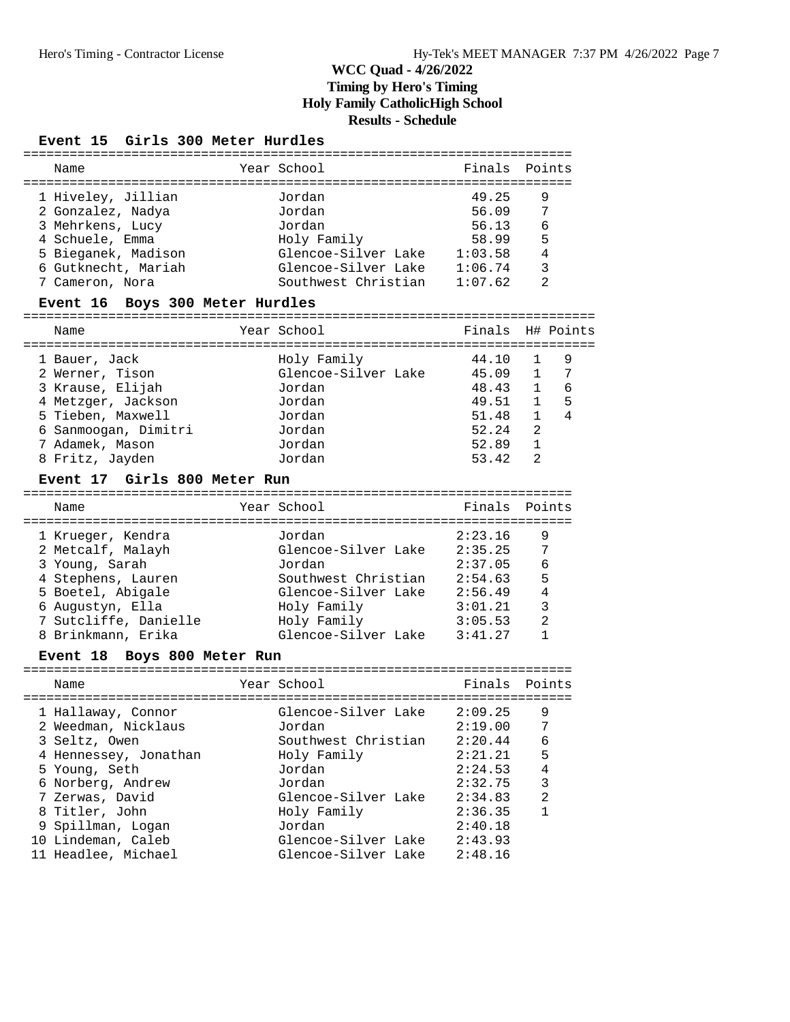#### **Event 15 Girls 300 Meter Hurdles**

| Name                | Year School         | Finals Points |               |
|---------------------|---------------------|---------------|---------------|
| 1 Hiveley, Jillian  | Jordan              | 49.25         | 9             |
| 2 Gonzalez, Nadya   | Jordan              | 56.09         | 7             |
| 3 Mehrkens, Lucy    | Jordan              | 56.13         | 6             |
| 4 Schuele, Emma     | Holy Family         | 58.99         | 5             |
| 5 Bieganek, Madison | Glencoe-Silver Lake | 1:03.58       | 4             |
| 6 Gutknecht, Mariah | Glencoe-Silver Lake | 1:06.74       | 3             |
| 7 Cameron, Nora     | Southwest Christian | 1:07.62       | $\mathcal{L}$ |
|                     |                     |               |               |

#### **Event 16 Boys 300 Meter Hurdles**

==========================================================================

| Name                 | Year School         | Finals H# Points |                |    |
|----------------------|---------------------|------------------|----------------|----|
| 1 Bauer, Jack        | Holy Family         | 44.10            |                | 9  |
| 2 Werner, Tison      | Glencoe-Silver Lake | 45.09            | $\mathbf{1}$   | -7 |
| 3 Krause, Elijah     | Jordan              | 48.43            | $\overline{1}$ | 6  |
| 4 Metzger, Jackson   | Jordan              | 49.51            |                | 5  |
| 5 Tieben, Maxwell    | Jordan              | 51.48            |                | 4  |
| 6 Sanmoogan, Dimitri | Jordan              | 52.24            | 2              |    |
| 7 Adamek, Mason      | Jordan              | 52.89            |                |    |
| 8 Fritz, Jayden      | Jordan              | 53.42            | $\mathcal{L}$  |    |

#### **Event 17 Girls 800 Meter Run**

| Name                  | Year School         | Finals Points |   |
|-----------------------|---------------------|---------------|---|
| 1 Krueger, Kendra     | Jordan              | 2:23.16       | 9 |
| 2 Metcalf, Malayh     | Glencoe-Silver Lake | 2:35.25       | 7 |
| 3 Young, Sarah        | Jordan              | 2:37.05       | 6 |
| 4 Stephens, Lauren    | Southwest Christian | 2:54.63       | 5 |
| 5 Boetel, Abigale     | Glencoe-Silver Lake | 2:56.49       |   |
| 6 Augustyn, Ella      | Holy Family         | 3:01.21       | 3 |
| 7 Sutcliffe, Danielle | Holy Family         | 3:05.53       | 2 |
| 8 Brinkmann, Erika    | Glencoe-Silver Lake | 3:41.27       |   |

#### **Event 18 Boys 800 Meter Run**

======================================================================= Name The Year School The Points Points Points ======================================================================= 1 Hallaway, Connor Glencoe-Silver Lake 2:09.25 9 2 Weedman, Nicklaus Jordan 2:19.00 7 3 Seltz, Owen Southwest Christian 2:20.44 6 4 Hennessey, Jonathan Holy Family 2:21.21 5 5 Young, Seth Jordan 2:24.53 4 6 Norberg, Andrew Jordan 2:32.75 3 7 Zerwas, David Glencoe-Silver Lake 2:34.83 2 8 Titler, John Holy Family 2:36.35 1 9 Spillman, Logan Jordan 2:40.18 10 Lindeman, Caleb Glencoe-Silver Lake 2:43.93 11 Headlee, Michael Glencoe-Silver Lake 2:48.16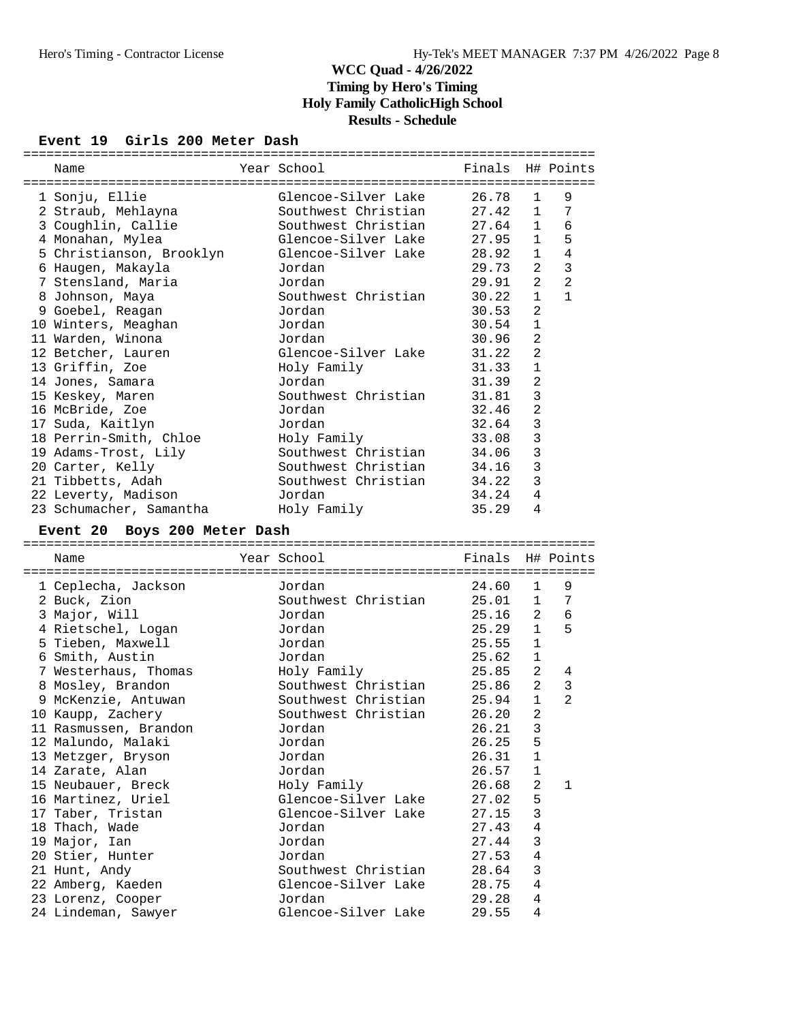# **Event 19 Girls 200 Meter Dash**

| Name                                     | Year School                   | Finals         |                         | H# Points      |
|------------------------------------------|-------------------------------|----------------|-------------------------|----------------|
| 1 Sonju, Ellie                           | Glencoe-Silver Lake           | 26.78          | $\mathbf{1}$            | 9              |
| 2 Straub, Mehlayna                       | Southwest Christian           | 27.42          | $\mathbf{1}$            | 7              |
| 3 Coughlin, Callie                       | Southwest Christian           | 27.64          | $\mathbf{1}$            | 6              |
| 4 Monahan, Mylea                         | Glencoe-Silver Lake           | 27.95          | $\mathbf{1}$            | 5              |
| 5 Christianson, Brooklyn                 | Glencoe-Silver Lake           | 28.92          | $\mathbf{1}$            | 4              |
| 6 Haugen, Makayla                        | Jordan                        | 29.73          | 2                       | $\mathbf{3}$   |
| 7 Stensland, Maria                       | Jordan                        | 29.91          | 2                       | $\overline{2}$ |
| 8 Johnson, Maya                          | Southwest Christian           | 30.22          | $\mathbf{1}$            | $\mathbf{1}$   |
| 9 Goebel, Reagan                         | Jordan                        | 30.53          | 2                       |                |
| 10 Winters, Meaghan                      | Jordan                        | 30.54          | $\mathbf{1}$            |                |
| 11 Warden, Winona                        | Jordan                        | 30.96          | $\overline{2}$          |                |
| 12 Betcher, Lauren                       | Glencoe-Silver Lake           | 31.22          | $\overline{2}$          |                |
| 13 Griffin, Zoe                          | Holy Family                   | 31.33          | $\mathbf{1}$            |                |
| 14 Jones, Samara                         | Jordan                        | 31.39          | $\overline{2}$          |                |
| 15 Keskey, Maren                         | Southwest Christian           | 31.81          | 3                       |                |
| 16 McBride, Zoe                          | Jordan                        | 32.46          | $\overline{2}$          |                |
| 17 Suda, Kaitlyn                         | Jordan                        | 32.64          | 3                       |                |
| 18 Perrin-Smith, Chloe                   | Holy Family                   | 33.08          | 3                       |                |
| 19 Adams-Trost, Lily                     | Southwest Christian           | 34.06          | 3                       |                |
| 20 Carter, Kelly                         | Southwest Christian           | 34.16          | 3                       |                |
| 21 Tibbetts, Adah                        | Southwest Christian           | 34.22          | 3                       |                |
| 22 Leverty, Madison                      | Jordan                        | 34.24          | $\overline{4}$          |                |
| 23 Schumacher, Samantha                  | Holy Family                   | 35.29          | 4                       |                |
| Event 20 Boys 200 Meter Dash             |                               |                |                         |                |
|                                          |                               |                |                         |                |
|                                          |                               |                |                         |                |
| Name                                     | Year School                   | Finals         |                         | H# Points      |
|                                          |                               |                |                         |                |
| 1 Ceplecha, Jackson                      | Jordan                        | 24.60          | $\mathbf{1}$            | 9              |
| 2 Buck, Zion                             | Southwest Christian           | 25.01          | $\mathbf{1}$            | 7              |
| 3 Major, Will                            | Jordan                        | 25.16          | 2                       | 6              |
| 4 Rietschel, Logan                       | Jordan                        | 25.29          | $\mathbf{1}$            | 5              |
| 5 Tieben, Maxwell                        | Jordan                        | 25.55          | $\mathbf{1}$            |                |
| 6 Smith, Austin                          | Jordan                        | 25.62          | $\mathbf{1}$            |                |
| 7 Westerhaus, Thomas                     | Holy Family                   | 25.85          | 2                       | 4              |
| 8 Mosley, Brandon                        | Southwest Christian           | 25.86          | 2                       | $\mathbf{3}$   |
| 9 McKenzie, Antuwan                      | Southwest Christian           | 25.94          | $\mathbf{1}$            | 2              |
| 10 Kaupp, Zachery                        | Southwest Christian           | 26.20          | 2                       |                |
| II Rasmussen, Brandon                    | Jordan                        | 26.21          | $\overline{\mathbf{3}}$ |                |
| 12 Malundo, Malaki                       | Jordan                        | 26.25          | 5                       |                |
| 13 Metzger, Bryson                       | Jordan                        | 26.31          | $\mathbf 1$             |                |
| 14 Zarate, Alan                          | Jordan                        | 26.57          | $\mathbf 1$             |                |
| 15 Neubauer, Breck                       | Holy Family                   | 26.68          | 2                       | 1              |
| 16 Martinez, Uriel                       | Glencoe-Silver Lake           | 27.02          | 5                       |                |
| 17 Taber, Tristan                        | Glencoe-Silver Lake           | 27.15          | 3                       |                |
| 18 Thach, Wade                           | Jordan                        | 27.43          | $\overline{4}$          |                |
| 19 Major, Ian                            | Jordan                        | 27.44          | 3                       |                |
| 20 Stier, Hunter                         | Jordan                        | 27.53          | $\overline{4}$          |                |
| 21 Hunt, Andy                            | Southwest Christian           | 28.64          | 3                       |                |
| 22 Amberg, Kaeden                        | Glencoe-Silver Lake           | 28.75          | 4                       |                |
| 23 Lorenz, Cooper<br>24 Lindeman, Sawyer | Jordan<br>Glencoe-Silver Lake | 29.28<br>29.55 | 4<br>4                  |                |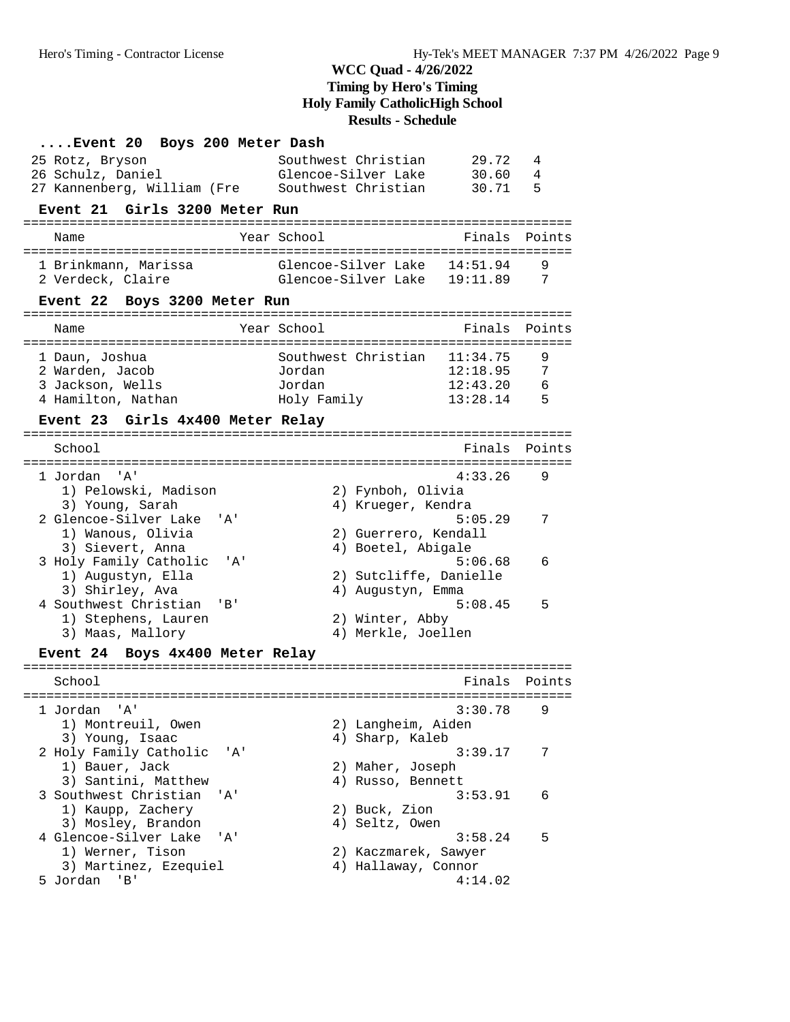| Event 20 Boys 200 Meter Dash                             |                                 |        |  |  |  |
|----------------------------------------------------------|---------------------------------|--------|--|--|--|
| 25 Rotz, Bryson                                          | Southwest Christian<br>29.72    | 4      |  |  |  |
| 26 Schulz, Daniel                                        | Glencoe-Silver Lake<br>30.60    | 4      |  |  |  |
| 27 Kannenberg, William (Fre Southwest Christian          | 30.71                           | 5      |  |  |  |
| Event 21 Girls 3200 Meter Run                            |                                 |        |  |  |  |
| Name                                                     | Year School<br>Finals           | Points |  |  |  |
| 1 Brinkmann, Marissa                                     | Glencoe-Silver Lake 14:51.94    | 9      |  |  |  |
| 2 Verdeck, Claire                                        | Glencoe-Silver Lake 19:11.89    | 7      |  |  |  |
| Event 22 Boys 3200 Meter Run                             |                                 |        |  |  |  |
| Name                                                     | Year School<br>Finals           | Points |  |  |  |
| 1 Daun, Joshua                                           | Southwest Christian 11:34.75    | 9      |  |  |  |
| 2 Warden, Jacob                                          | 12:18.95<br>Jordan              | 7      |  |  |  |
| 3 Jackson, Wells                                         | 12:43.20<br>Jordan              | 6      |  |  |  |
| 4 Hamilton, Nathan                                       | Holy Family<br>13:28.14         | 5      |  |  |  |
| Event 23 Girls 4x400 Meter Relay                         |                                 |        |  |  |  |
| School                                                   | Finals                          | Points |  |  |  |
| 1 Jordan 'A'                                             | 4:33.26                         | 9      |  |  |  |
| 1) Pelowski, Madison                                     | 2) Fynboh, Olivia               |        |  |  |  |
| 3) Young, Sarah                                          | 4) Krueger, Kendra              |        |  |  |  |
| 2 Glencoe-Silver Lake<br>' A '                           | 5:05.29                         | 7      |  |  |  |
| 1) Wanous, Olivia                                        | 2) Guerrero, Kendall            |        |  |  |  |
| 3) Sievert, Anna                                         | 4) Boetel, Abigale              |        |  |  |  |
| 3 Holy Family Catholic<br>" A '                          | 5:06.68                         | 6      |  |  |  |
| 1) Augustyn, Ella                                        | 2) Sutcliffe, Danielle          |        |  |  |  |
| 3) Shirley, Ava<br>4 Southwest Christian<br>$\mathbf{B}$ | 4) Augustyn, Emma<br>5:08.45    | 5      |  |  |  |
| 1) Stephens, Lauren                                      | 2) Winter, Abby                 |        |  |  |  |
| 3) Maas, Mallory                                         | 4) Merkle, Joellen              |        |  |  |  |
| Event 24 Boys 4x400 Meter Relay                          |                                 |        |  |  |  |
|                                                          |                                 |        |  |  |  |
| School                                                   | Finals                          | Points |  |  |  |
| 1 Jordan 'A'                                             | 3:30.78                         | 9      |  |  |  |
| 1) Montreuil, Owen                                       | 2) Langheim, Aiden              |        |  |  |  |
| 3) Young, Isaac                                          | 4) Sharp, Kaleb                 |        |  |  |  |
| 2 Holy Family Catholic<br>'A'                            | 3:39.17                         | 7      |  |  |  |
| 1) Bauer, Jack                                           | 2) Maher, Joseph                |        |  |  |  |
| 3) Santini, Matthew                                      | 4) Russo, Bennett               |        |  |  |  |
| 3 Southwest Christian<br>' A'                            | 3:53.91                         | 6      |  |  |  |
| 1) Kaupp, Zachery                                        | 2) Buck, Zion                   |        |  |  |  |
| 3) Mosley, Brandon                                       | 4) Seltz, Owen                  |        |  |  |  |
| 4 Glencoe-Silver Lake<br>'A'<br>1) Werner, Tison         | 3:58.24<br>2) Kaczmarek, Sawyer | 5      |  |  |  |
| 3) Martinez, Ezequiel                                    | 4) Hallaway, Connor             |        |  |  |  |
| 5 Jordan<br>'B'                                          | 4:14.02                         |        |  |  |  |
|                                                          |                                 |        |  |  |  |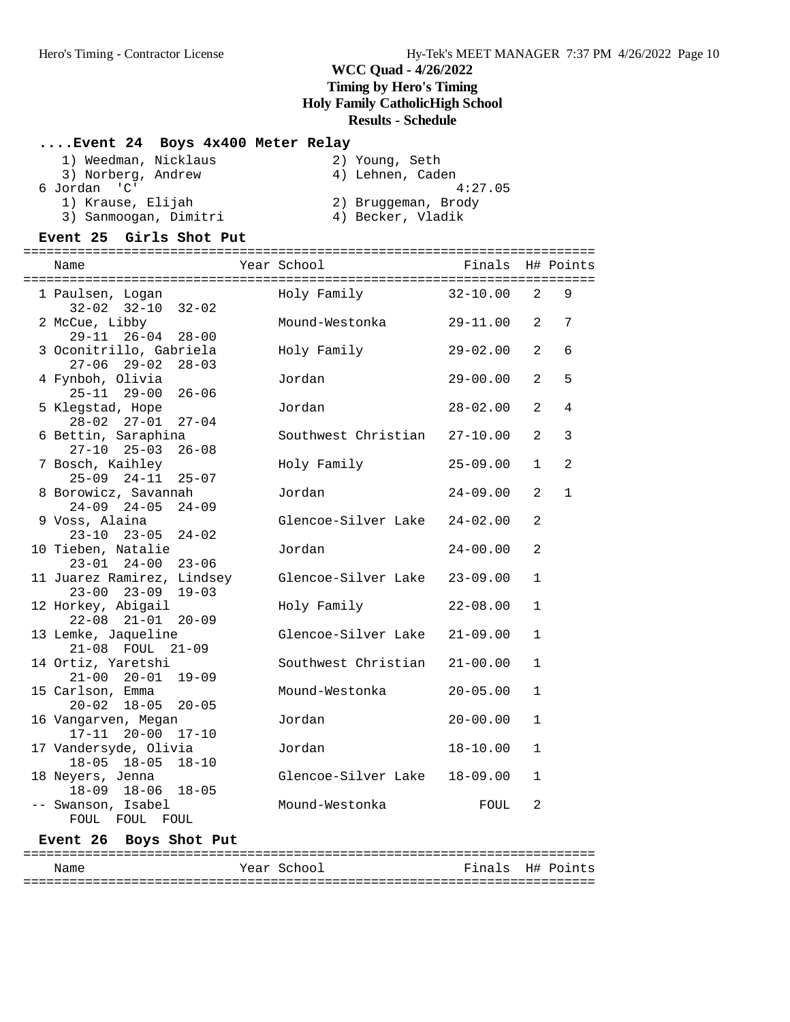### **....Event 24 Boys 4x400 Meter Relay**

| 1) Weedman, Nicklaus  | 2) Young, Seth      |
|-----------------------|---------------------|
| 3) Norberg, Andrew    | 4) Lehnen, Caden    |
| 6 Jordan 'C'          | 4:27.05             |
| 1) Krause, Elijah     | 2) Bruggeman, Brody |
| 3) Sanmoogan, Dimitri | 4) Becker, Vladik   |

### **Event 25 Girls Shot Put**

| Name                                                        | Year School          | Finals H# Points |              |                |
|-------------------------------------------------------------|----------------------|------------------|--------------|----------------|
| 1 Paulsen, Logan<br>$32-02$ $32-10$ $32-02$                 | Holy Family 32-10.00 |                  | 2            | 9              |
| 2 McCue, Libby                                              | Mound-Westonka       | $29 - 11.00$     | 2            | 7              |
| $29-11$ $26-04$ $28-00$<br>3 Oconitrillo, Gabriela          | Holy Family          | 29-02.00         | 2            | 6              |
| $27-06$ $29-02$ $28-03$<br>4 Fynboh, Olivia                 | Jordan               | 29-00.00         | 2            | 5              |
| $25 - 11$ $29 - 00$<br>$26 - 06$<br>5 Klegstad, Hope        | Jordan               | $28 - 02.00$     | 2            | $\overline{4}$ |
| 28-02 27-01 27-04<br>6 Bettin, Saraphina                    | Southwest Christian  | $27 - 10.00$     | 2            | 3              |
| $27-10$ $25-03$ $26-08$<br>7 Bosch, Kaihley                 | Holy Family          | $25 - 09.00$     | $\mathbf{1}$ | 2              |
| $25-09$ $24-11$ $25-07$<br>8 Borowicz, Savannah             | Jordan               | $24 - 09.00$     | 2            | $\mathbf{1}$   |
| $24-09$ $24-05$ $24-09$<br>9 Voss, Alaina                   | Glencoe-Silver Lake  | $24 - 02.00$     | 2            |                |
| $23-10$ $23-05$ $24-02$<br>10 Tieben, Natalie               | Jordan               | $24 - 00.00$     | 2            |                |
| $23 - 01$ $24 - 00$ $23 - 06$<br>11 Juarez Ramirez, Lindsey | Glencoe-Silver Lake  | $23 - 09.00$     | $\mathbf{1}$ |                |
| $23 - 00$ $23 - 09$<br>$19 - 03$                            |                      |                  |              |                |
| 12 Horkey, Abigail<br>$22 - 08$ $21 - 01$ $20 - 09$         | Holy Family          | $22 - 08.00$     | $\mathbf{1}$ |                |
| 13 Lemke, Jaqueline<br>21-08 FOUL 21-09                     | Glencoe-Silver Lake  | $21 - 09.00$     | $\mathbf{1}$ |                |
| 14 Ortiz, Yaretshi<br>$21-00$ $20-01$ $19-09$               | Southwest Christian  | $21 - 00.00$     | $\mathbf{1}$ |                |
| 15 Carlson, Emma<br>$20 - 02$ 18-05<br>$20 - 05$            | Mound-Westonka       | $20 - 05.00$     | $\mathbf{1}$ |                |
| 16 Vangarven, Megan<br>$17 - 11$ $20 - 00$ $17 - 10$        | Jordan               | $20 - 00.00$     | $\mathbf{1}$ |                |
| 17 Vandersyde, Olivia<br>18-05 18-05 18-10                  | Jordan               | $18 - 10.00$     | $\mathbf{1}$ |                |
| 18 Neyers, Jenna<br>18-09 18-06 18-05                       | Glencoe-Silver Lake  | $18 - 09.00$     | $\mathbf{1}$ |                |
| -- Swanson, Isabel<br>FOUL FOUL FOUL                        | Mound-Westonka       | FOUL             | 2            |                |
|                                                             |                      |                  |              |                |

### **Event 26 Boys Shot Put**

| Name | Year School | Finals H# Points |
|------|-------------|------------------|
|      |             |                  |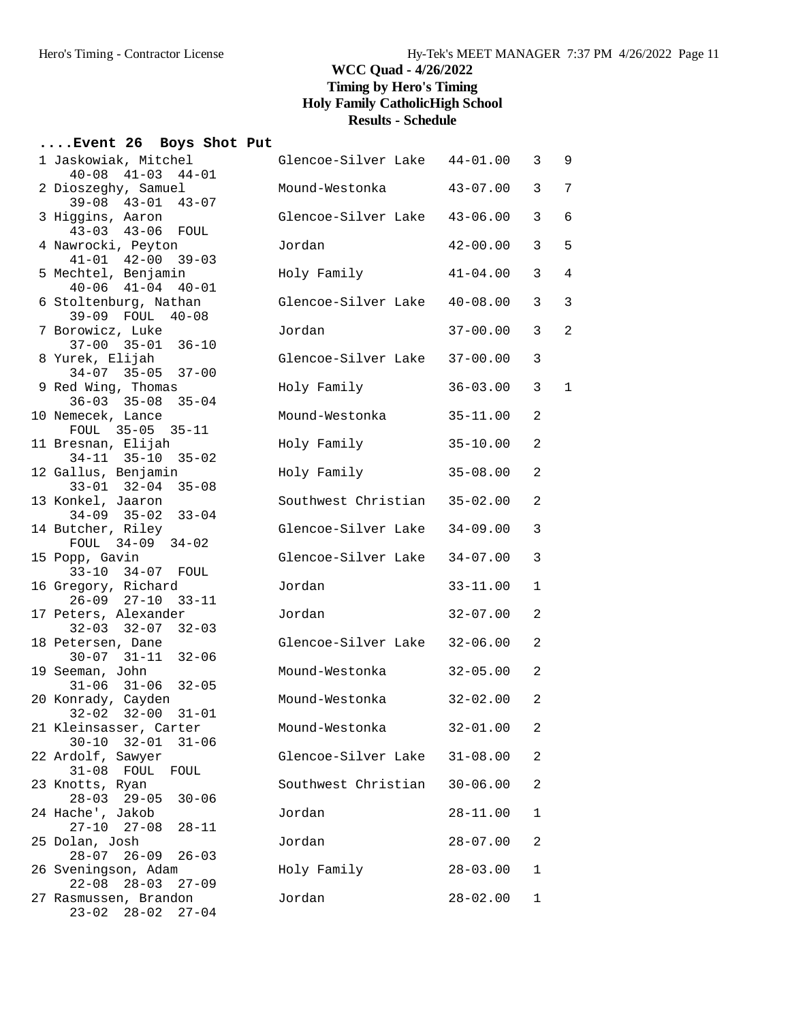### **....Event 26 Boys Shot Put**

| 1 Jaskowiak, Mitchel<br>$40-08$ $41-03$ $44-01$              | Glencoe-Silver Lake 44-01.00 |                | 3              | 9 |
|--------------------------------------------------------------|------------------------------|----------------|----------------|---|
| 2 Dioszeghy, Samuel<br>$39 - 08$ $43 - 01$<br>$43 - 07$      | Mound-Westonka               | $43 - 07.00$   | 3              | 7 |
| 3 Higgins, Aaron<br>43-03 43-06 FOUL                         | Glencoe-Silver Lake 43-06.00 |                | 3              | 6 |
| 4 Nawrocki, Peyton<br>$41 - 01$ $42 - 00$ $39 - 03$          | Jordan                       | $42 - 00.00$   | 3              | 5 |
| 5 Mechtel, Benjamin<br>$40-06$ $41-04$ $40-01$               | Holy Family                  | $41 - 04.00$   | 3              | 4 |
| 6 Stoltenburg, Nathan<br>39-09 FOUL 40-08                    | Glencoe-Silver Lake 40-08.00 |                | 3              | 3 |
| 7 Borowicz, Luke<br>$37-00$ $35-01$ $36-10$                  | Jordan                       | $37 - 00.00$   | 3              | 2 |
| 8 Yurek, Elijah<br>$34-07$ $35-05$ $37-00$                   | Glencoe-Silver Lake 37-00.00 |                | 3              |   |
| 9 Red Wing, Thomas<br>$36 - 03$ $35 - 08$<br>$35 - 04$       | Holy Family                  | $36 - 03.00$   | 3              | 1 |
| 10 Nemecek, Lance<br>FOUL 35-05 35-11                        | Mound-Westonka               | $35 - 11.00$   | 2              |   |
| 11 Bresnan, Elijah<br>$34-11$ $35-10$ $35-02$                | Holy Family                  | $35 - 10.00$   | $\overline{2}$ |   |
| 12 Gallus, Benjamin<br>$33 - 01$ $32 - 04$ $35 - 08$         | Holy Family                  | $35 - 08.00$   | 2              |   |
| 13 Konkel, Jaaron<br>$34 - 09$ $35 - 02$<br>$33 - 04$        | Southwest Christian 35-02.00 |                | 2              |   |
| 14 Butcher, Riley<br>FOUL 34-09 34-02                        | Glencoe-Silver Lake 34-09.00 |                | 3              |   |
| 15 Popp, Gavin<br>33-10 34-07 FOUL                           | Glencoe-Silver Lake 34-07.00 |                | 3              |   |
| 16 Gregory, Richard<br>$26 - 09$ $27 - 10$<br>$33 - 11$      | Jordan                       | $33 - 11.00$   | $\mathbf 1$    |   |
| 17 Peters, Alexander<br>$32-03$ $32-07$ $32-03$              | Jordan                       | $32 - 07.00$   | 2              |   |
| 18 Petersen, Dane<br>$30-07$ $31-11$ $32-06$                 | Glencoe-Silver Lake 32-06.00 |                | 2              |   |
| 19 Seeman, John<br>$31-06$ $31-06$ $32-05$                   | Mound-Westonka               | $32 - 05.00$   | 2              |   |
| 20 Konrady, Cayden<br>$32 - 02$ $32 - 00$ $31 - 01$          | Mound-Westonka               | 32-02.00       | 2              |   |
| 21 Kleinsasser, Carter<br>$30-10$ $32-01$ $31-06$            | Mound-Westonka               | $32 - 01.00$ 2 |                |   |
| 22 Ardolf, Sawyer<br>$31-08$ FOUL<br>FOUL                    | Glencoe-Silver Lake          | $31 - 08.00$   | 2              |   |
| 23 Knotts, Ryan<br>$28 - 03$ 29-05<br>$30 - 06$              | Southwest Christian          | $30 - 06.00$   | 2              |   |
| 24 Hache', Jakob<br>$27 - 10$ $27 - 08$<br>$28 - 11$         | Jordan                       | $28 - 11.00$   | 1              |   |
| 25 Dolan, Josh<br>$28 - 07$ 26-09<br>$26 - 03$               | Jordan                       | $28 - 07.00$   | 2              |   |
| 26 Sveningson, Adam<br>$22 - 08$ $28 - 03$<br>$27 - 09$      | Holy Family                  | $28 - 03.00$   | 1              |   |
| 27 Rasmussen, Brandon<br>$28 - 02$<br>$23 - 02$<br>$27 - 04$ | Jordan                       | $28 - 02.00$   | 1              |   |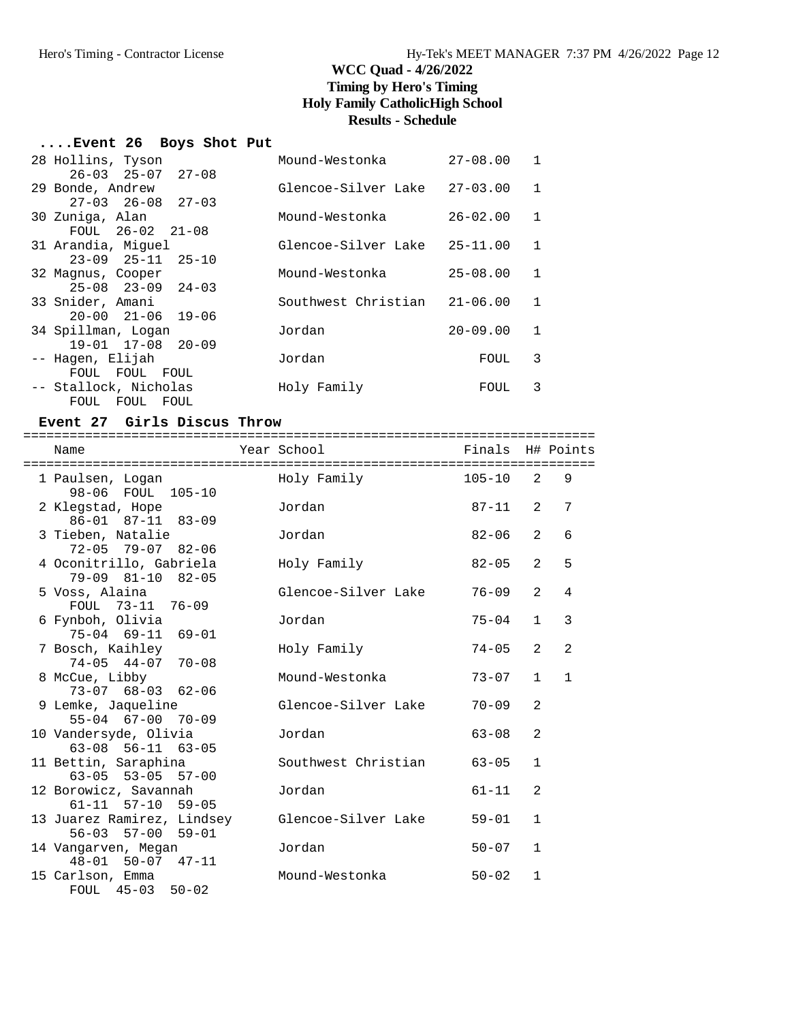### **....Event 26 Boys Shot Put**

| 28 Hollins, Tyson             | Mound-Westonka      | $27 - 08.00$ | 1 |
|-------------------------------|---------------------|--------------|---|
| $26 - 03$ $25 - 07$ $27 - 08$ |                     |              |   |
| 29 Bonde, Andrew              | Glencoe-Silver Lake | $27 - 03.00$ | 1 |
| $27 - 03$ $26 - 08$ $27 - 03$ |                     |              |   |
| 30 Zuniga, Alan               | Mound-Westonka      | $26 - 02.00$ | 1 |
| FOUL $26-02$ $21-08$          |                     |              |   |
| 31 Arandia, Miquel            | Glencoe-Silver Lake | $25 - 11.00$ | 1 |
| $23-09$ $25-11$ $25-10$       |                     |              |   |
| 32 Magnus, Cooper             | Mound-Westonka      | $25 - 08.00$ | 1 |
| $25 - 08$ $23 - 09$ $24 - 03$ |                     |              |   |
| 33 Snider, Amani              | Southwest Christian | $21 - 06.00$ | 1 |
| $20 - 00$ $21 - 06$ $19 - 06$ |                     |              |   |
| 34 Spillman, Logan            | Jordan              | $20 - 09.00$ | 1 |
| $19 - 01$ $17 - 08$ $20 - 09$ |                     |              |   |
| -- Hagen, Elijah              | Jordan              | FOUL         | 3 |
| FOUL FOUL<br>FOUL             |                     |              |   |
| -- Stallock, Nicholas         | Holy Family         | FOUL         | 3 |
| FOUL FOUL<br>FOUL             |                     |              |   |

### **Event 27 Girls Discus Throw**

| Name                                                   | Year School         | Finals H# Points |                |                |
|--------------------------------------------------------|---------------------|------------------|----------------|----------------|
| 1 Paulsen, Logan<br>98-06 FOUL 105-10                  | Holy Family         | $105 - 10$       | $\mathcal{L}$  | 9              |
| 2 Klegstad, Hope<br>$86 - 01$ $87 - 11$ $83 - 09$      | Jordan              | 87-11            | 2              | 7              |
| 3 Tieben, Natalie<br>$72 - 05$ $79 - 07$ $82 - 06$     | Jordan              | 82-06            | $\mathfrak{D}$ | 6              |
| 4 Oconitrillo, Gabriela<br>$79-09$ $81-10$ $82-05$     | Holy Family         | $82 - 05$        | 2              | 5              |
| 5 Voss, Alaina<br>FOUL 73-11 76-09                     | Glencoe-Silver Lake | $76 - 09$        | $\mathfrak{D}$ | $\overline{4}$ |
| 6 Fynboh, Olivia<br>75-04 69-11 69-01                  | Jordan              | $75 - 04$        | $\mathbf{1}$   | 3              |
| 7 Bosch, Kaihley<br>$74-05$ $44-07$ $70-08$            | Holy Family         | $74 - 05$        | $\mathfrak{D}$ | $\overline{2}$ |
| 8 McCue, Libby<br>$73-07$ 68-03 62-06                  | Mound-Westonka      | $73 - 07$        | $\mathbf{1}$   | $\mathbf{1}$   |
| 9 Lemke, Jaqueline<br>55-04 67-00 70-09                | Glencoe-Silver Lake | $70 - 09$        | 2              |                |
| 10 Vandersyde, Olivia<br>$63-08$ $56-11$ $63-05$       | Jordan              | $63 - 08$        | 2              |                |
| 11 Bettin, Saraphina<br>$63 - 05$ $53 - 05$ $57 - 00$  | Southwest Christian | $63 - 05$        | $\mathbf{1}$   |                |
| 12 Borowicz, Savannah<br>$61 - 11$ $57 - 10$ $59 - 05$ | Jordan              | $61 - 11$        | $\mathfrak{D}$ |                |
| 13 Juarez Ramirez, Lindsey<br>56-03 57-00 59-01        | Glencoe-Silver Lake | $59 - 01$        | $\mathbf{1}$   |                |
| 14 Vangarven, Megan<br>$48 - 01$ 50-07 $47 - 11$       | Jordan              | $50 - 07$        | $\mathbf{1}$   |                |
| 15 Carlson, Emma<br>FOUL 45-03 50-02                   | Mound-Westonka      | $50 - 02$        | $\mathbf{1}$   |                |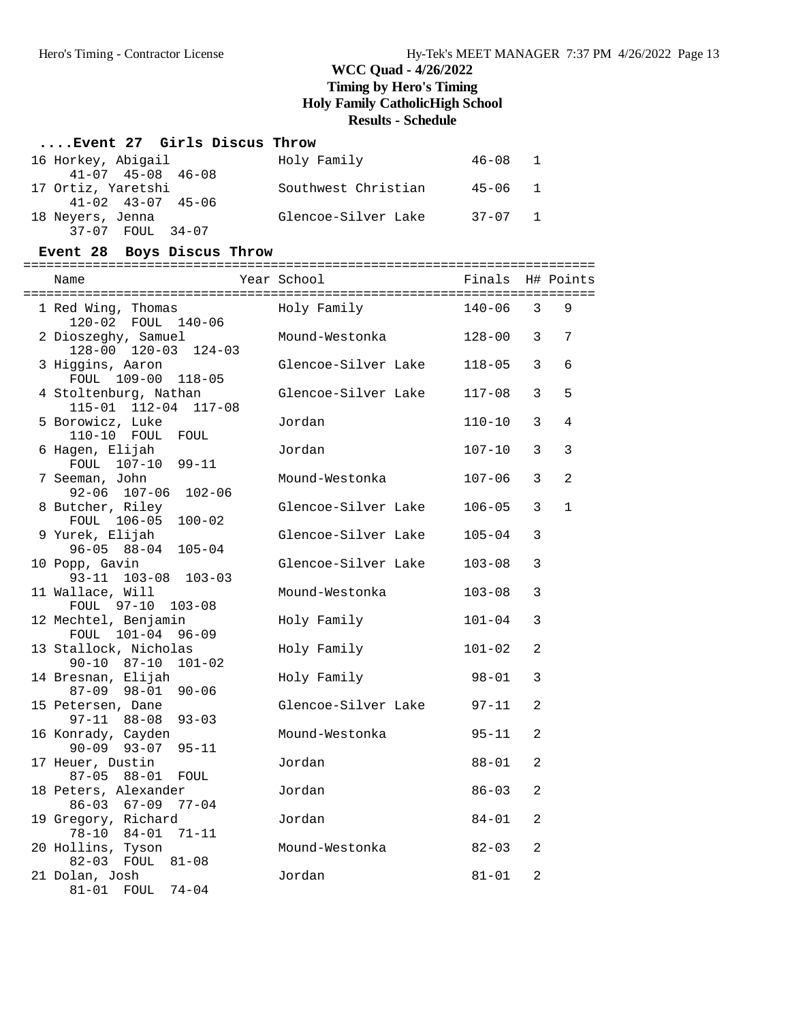#### **....Event 27 Girls Discus Throw**

| 16 Horkey, Abigail            | Holy Family         | 46-08 1     |  |
|-------------------------------|---------------------|-------------|--|
| $41 - 07$ $45 - 08$ $46 - 08$ |                     |             |  |
| 17 Ortiz, Yaretshi            | Southwest Christian | 45-06 1     |  |
| $41 - 02$ $43 - 07$ $45 - 06$ |                     |             |  |
| 18 Neyers, Jenna              | Glencoe-Silver Lake | $37 - 07$ 1 |  |
| 37-07 FOUL 34-07              |                     |             |  |

#### **Event 28 Boys Discus Throw**

========================================================================== Name Year School Finals H# Points ========================================================================== 1 Red Wing, Thomas Holy Family 140-06 3 9 120-02 FOUL 140-06 2 Dioszeghy, Samuel Mound-Westonka 128-00 3 7 128-00 120-03 124-03 3 Higgins, Aaron Glencoe-Silver Lake 118-05 3 6 FOUL 109-00 118-05 4 Stoltenburg, Nathan Glencoe-Silver Lake 117-08 3 5 115-01 112-04 117-08 5 Borowicz, Luke Jordan 110-10 3 4 110-10 FOUL FOUL 6 Hagen, Elijah Jordan 107-10 3 3 FOUL 107-10 99-11<br>7 Seeman, John Mound-Westonka 107-06 3 2 92-06 107-06 102-06 8 Butcher, Riley Glencoe-Silver Lake 106-05 3 1 FOUL 106-05 100-02<br>9 Yurek, Elijah Glencoe-Silver Lake 105-04 3 96-05 88-04 105-04 10 Popp, Gavin Glencoe-Silver Lake 103-08 3 93-11 103-08 103-03<br>11 Wallace, Will Mound-Westonka 103-08 3 FOUL 97-10 103-08 12 Mechtel, Benjamin Holy Family 101-04 3 FOUL 101-04 96-09<br>13 Stallock, Nicholas 13 Stallock, Nicholas Holy Family 101-02 2 90-10 87-10 101-02 14 Bresnan, Elijah Holy Family 98-01 3 87-09 98-01 90-06 15 Petersen, Dane Glencoe-Silver Lake 97-11 2 97-11 88-08 93-03 16 Konrady, Cayden Mound-Westonka 95-11 2 90-09 93-07 95-11 17 Heuer, Dustin Jordan 88-01 2 87-05 88-01 FOUL 18 Peters, Alexander Jordan 86-03 2 86-03 67-09 77-04 19 Gregory, Richard Jordan 84-01 2 78-10 84-01 71-11 20 Hollins, Tyson Mound-Westonka 82-03 2 82-03 FOUL 81-08 21 Dolan, Josh Jordan 81-01 2 81-01 FOUL 74-04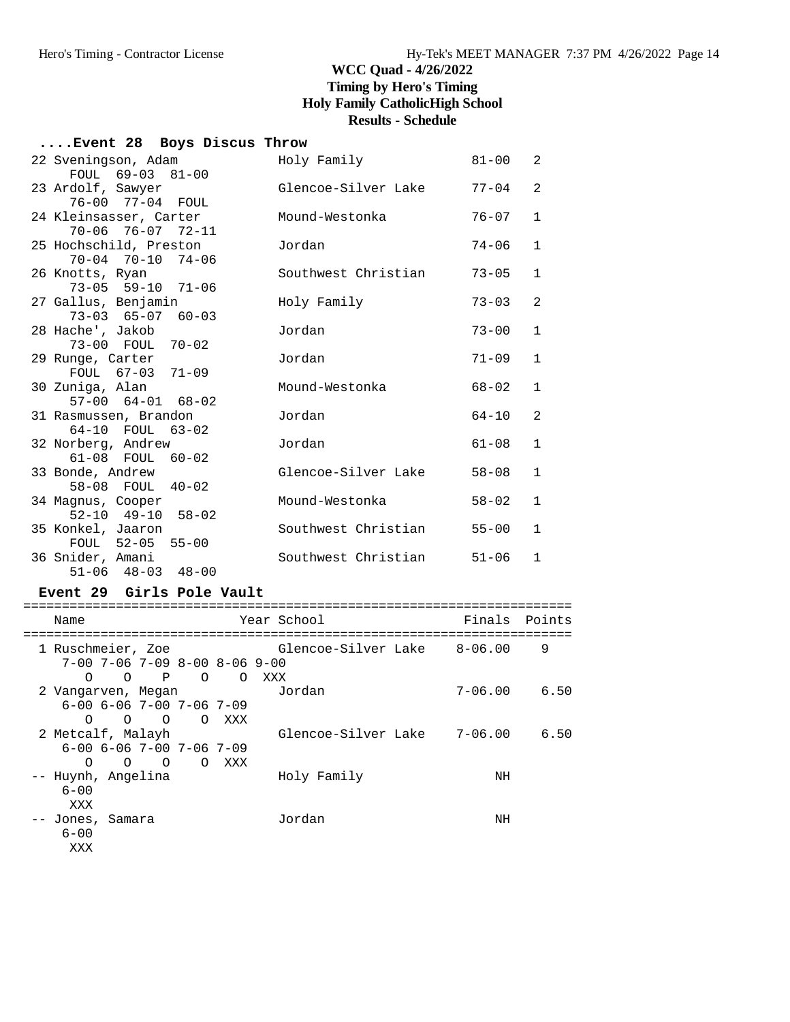### **....Event 28 Boys Discus Throw**

| 22 Sveningson, Adam<br>FOUL 69-03 81-00                         | Holy Family         | $81 - 00$ | 2              |
|-----------------------------------------------------------------|---------------------|-----------|----------------|
| 23 Ardolf, Sawyer                                               | Glencoe-Silver Lake | $77 - 04$ | 2              |
| 76-00 77-04 FOUL<br>24 Kleinsasser, Carter                      | Mound-Westonka      | $76 - 07$ | $\mathbf{1}$   |
| 70-06 76-07 72-11<br>25 Hochschild, Preston                     | Jordan              | $74 - 06$ | $\mathbf{1}$   |
| 70-04 70-10 74-06<br>26 Knotts, Ryan                            | Southwest Christian | $73 - 05$ | $\mathbf{1}$   |
| $73 - 05$ 59-10 71-06<br>27 Gallus, Benjamin                    | Holy Family         | $73 - 03$ | $\overline{2}$ |
| $73 - 03$ $65 - 07$ $60 - 03$<br>28 Hache', Jakob               | Jordan              | $73 - 00$ | $\mathbf{1}$   |
| 73-00 FOUL 70-02<br>29 Runge, Carter                            | Jordan              | $71 - 09$ | $\mathbf{1}$   |
| FOUL 67-03 71-09<br>30 Zuniga, Alan                             | Mound-Westonka      | $68 - 02$ | $\mathbf{1}$   |
| $57-00$ $64-01$ $68-02$<br>31 Rasmussen, Brandon                | Jordan              | $64 - 10$ | $\overline{2}$ |
| 64-10 FOUL 63-02<br>32 Norberg, Andrew                          | Jordan              | $61 - 08$ | $\mathbf{1}$   |
| 61-08 FOUL 60-02<br>33 Bonde, Andrew                            | Glencoe-Silver Lake | $58 - 08$ | $\mathbf{1}$   |
| 58-08 FOUL 40-02<br>34 Magnus, Cooper                           | Mound-Westonka      | $58 - 02$ | $\mathbf{1}$   |
| $52 - 10$ $49 - 10$ $58 - 02$<br>35 Konkel, Jaaron              | Southwest Christian | $55 - 00$ | $\mathbf{1}$   |
| FOUL 52-05 55-00<br>36 Snider, Amani<br>$51-06$ $48-03$ $48-00$ | Southwest Christian | $51 - 06$ | $\mathbf{1}$   |
|                                                                 |                     |           |                |

#### **Event 29 Girls Pole Vault**

| Points<br>Finals<br>Year School<br>Name<br>Glencoe-Silver Lake 8-06.00<br>1 Ruschmeier, Zoe<br>9<br>$7-00$ $7-06$ $7-09$ $8-00$ $8-06$ $9-00$<br>$\mathbf{P}$<br>$\Omega$<br>$\Omega$<br>XXX<br>∩<br>$\left( \right)$<br>$7 - 06.00$<br>Jordan<br>2 Vangarven, Megan<br>$6 - 00$ $6 - 06$ $7 - 00$ $7 - 06$ $7 - 09$<br>$\Omega$ |      |
|----------------------------------------------------------------------------------------------------------------------------------------------------------------------------------------------------------------------------------------------------------------------------------------------------------------------------------|------|
|                                                                                                                                                                                                                                                                                                                                  |      |
|                                                                                                                                                                                                                                                                                                                                  |      |
|                                                                                                                                                                                                                                                                                                                                  |      |
|                                                                                                                                                                                                                                                                                                                                  |      |
|                                                                                                                                                                                                                                                                                                                                  |      |
|                                                                                                                                                                                                                                                                                                                                  | 6.50 |
|                                                                                                                                                                                                                                                                                                                                  |      |
| $\circ$ $\circ$<br>$\overline{O}$<br>XXX                                                                                                                                                                                                                                                                                         |      |
| Glencoe-Silver Lake<br>$7 - 06.00$<br>2 Metcalf, Malayh                                                                                                                                                                                                                                                                          | 6.50 |
| $6 - 00$ $6 - 06$ $7 - 00$ $7 - 06$ $7 - 09$                                                                                                                                                                                                                                                                                     |      |
| $\Omega$<br>$\Omega$<br>$\overline{O}$<br>$\Omega$<br>XXX                                                                                                                                                                                                                                                                        |      |
| Holy Family<br>-- Huynh, Angelina<br>NH                                                                                                                                                                                                                                                                                          |      |
| $6 - 00$                                                                                                                                                                                                                                                                                                                         |      |
| XXX                                                                                                                                                                                                                                                                                                                              |      |
| Jordan<br>Jones, Samara<br>ΝH                                                                                                                                                                                                                                                                                                    |      |
| $6 - 00$                                                                                                                                                                                                                                                                                                                         |      |
| XXX                                                                                                                                                                                                                                                                                                                              |      |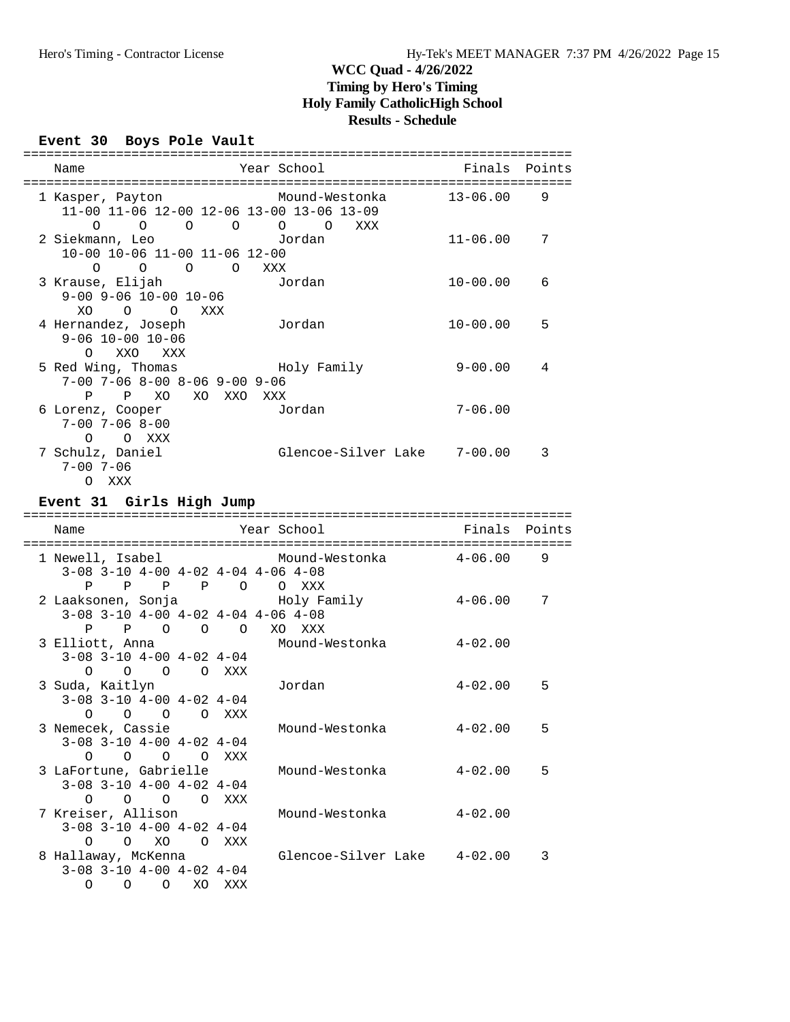# **Event 30 Boys Pole Vault**

| Year School<br>Finals Points<br>Name                                                                                                                            |               |
|-----------------------------------------------------------------------------------------------------------------------------------------------------------------|---------------|
|                                                                                                                                                                 |               |
| 1 Kasper, Payton Mound-Westonka 13-06.00<br>11-00 11-06 12-00 12-06 13-00 13-06 13-09                                                                           | 9             |
| $\begin{matrix} 0 & 0 & 0 & 0 & 0 \end{matrix}$<br>O<br>XXX<br>Jordan<br>$11 - 06.00$<br>2 Siekmann, Leo<br>10-00 10-06 11-00 11-06 12-00                       | 7             |
| 0 0 0 0 XXX<br>3 Krause, Elijah<br>$10 - 00.00$<br>Jordan<br>$9-00$ $9-06$ $10-00$ $10-06$                                                                      | 6             |
| XO O O XXX<br>4 Hernandez, Joseph<br>Jordan<br>$10 - 00.00$<br>$9 - 06$ $10 - 00$ $10 - 06$                                                                     | 5             |
| O XXO XXX<br>5 Red Wing, Thomas The Holy Family<br>$9 - 00.00$<br>$7-00$ $7-06$ $8-00$ $8-06$ $9-00$ $9-06$                                                     | 4             |
| P P XO XO XXO XXX<br>Jordan<br>$7 - 06.00$<br>6 Lorenz, Cooper<br>$7 - 00$ $7 - 06$ $8 - 00$                                                                    |               |
| O O XXX<br>Glencoe-Silver Lake 7-00.00<br>7 Schulz, Daniel<br>$7 - 00$ $7 - 06$<br>O XXX                                                                        | 3             |
|                                                                                                                                                                 |               |
| Event 31 Girls High Jump                                                                                                                                        |               |
| Year School<br>Name                                                                                                                                             | Finals Points |
| Mound-Westonka 4-06.00<br>1 Newell, Isabel<br>$3-08$ $3-10$ $4-00$ $4-02$ $4-04$ $4-06$ $4-08$                                                                  | 9             |
| P P P P O O XXX<br>Holy Family<br>2 Laaksonen, Sonja<br>$4 - 06.00$<br>$3-08$ $3-10$ $4-00$ $4-02$ $4-04$ $4-06$ $4-08$                                         | 7             |
| P P O O O XO XXX<br>3 Elliott, Anna<br>Mound-Westonka<br>$4 - 02$ .00<br>$3-08$ $3-10$ $4-00$ $4-02$ $4-04$                                                     |               |
| 0 0 0 0 XXX<br>Jordan<br>3 Suda, Kaitlyn<br>$4 - 02.00$<br>$3-08$ $3-10$ $4-00$ $4-02$ $4-04$                                                                   | 5             |
| O O O O XXX                                                                                                                                                     | ל             |
| 3 Nemecek, Cassie<br>Mound-Westonka<br>$4 - 02.00$<br>$3-08$ $3-10$ $4-00$ $4-02$ $4-04$                                                                        |               |
| 0 0 0 0 XXX<br>3 LaFortune, Gabrielle<br>$4 - 02.00$<br>Mound-Westonka                                                                                          | 5             |
| $3-08$ $3-10$ $4-00$ $4-02$ $4-04$<br>$O$ $O$ $O$ $XXX$<br>$\circ$<br>7 Kreiser, Allison<br>Mound-Westonka<br>$4 - 02.00$<br>$3-08$ $3-10$ $4-00$ $4-02$ $4-04$ |               |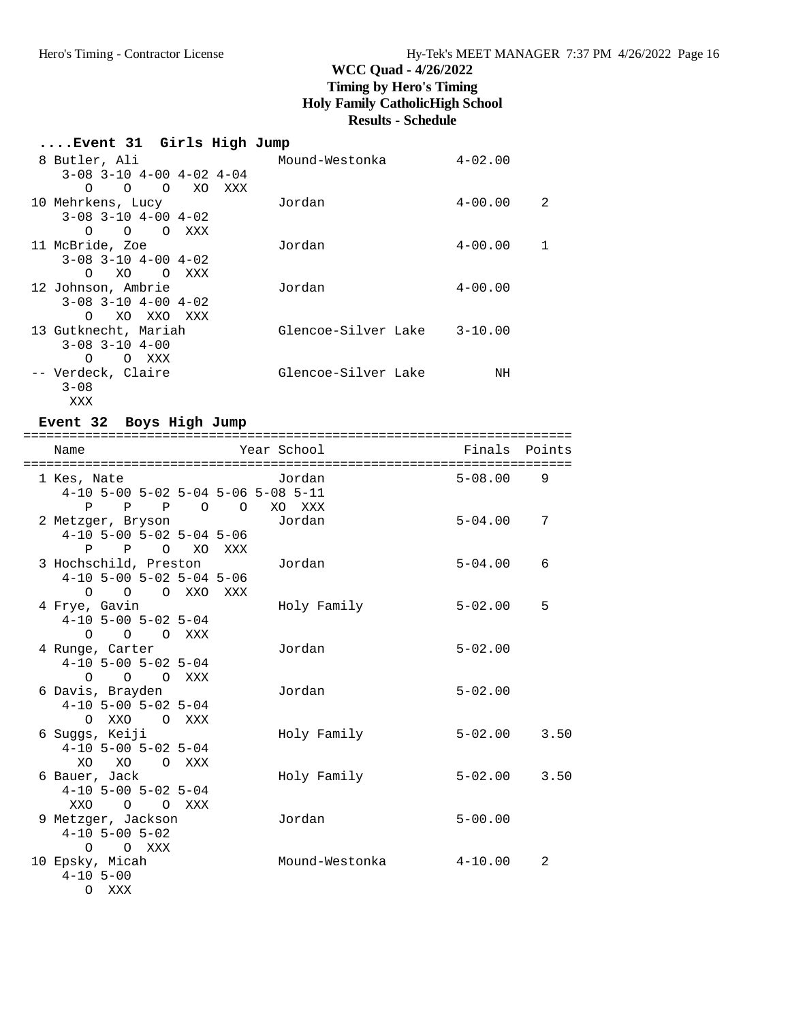| Event 31 Girls High Jump           |                     |                  |
|------------------------------------|---------------------|------------------|
| 8 Butler, Ali                      | Mound-Westonka      | $4 - 02.00$      |
| $3-08$ $3-10$ $4-00$ $4-02$ $4-04$ |                     |                  |
| $0\qquad 0\qquad 0$<br>XO<br>XXX   |                     |                  |
| 10 Mehrkens, Lucy                  | Jordan              | $4 - 00.00$<br>2 |
| $3-08$ $3-10$ $4-00$ $4-02$        |                     |                  |
| $\Omega$<br>O OXXX                 |                     |                  |
| 11 McBride, Zoe                    | Jordan              | $4 - 00.00$      |
| $3-08$ $3-10$ $4-00$ $4-02$        |                     |                  |
| XO OXXX<br>O                       |                     |                  |
| 12 Johnson, Ambrie                 | Jordan              | $4 - 00.00$      |
| $3-08$ $3-10$ $4-00$ $4-02$        |                     |                  |
| XO XXO XXX<br>$\Omega$             |                     |                  |
| 13 Gutknecht, Mariah               | Glencoe-Silver Lake | $3 - 10.00$      |
| $3 - 08$ $3 - 10$ $4 - 00$         |                     |                  |
| O XXX<br>$\Omega$                  |                     |                  |
| -- Verdeck, Claire                 | Glencoe-Silver Lake | NH               |
| $3 - 08$                           |                     |                  |
| XXX                                |                     |                  |

### **Event 32 Boys High Jump**

| Name                                     | Year School              | Finals      | Points |
|------------------------------------------|--------------------------|-------------|--------|
| ====================================     | ======================== |             |        |
| 1 Kes, Nate                              | Jordan                   | $5 - 08.00$ | 9      |
| 4-10 5-00 5-02 5-04 5-06 5-08 5-11       |                          |             |        |
| P<br>P<br>$\mathbb{P}$<br>$\overline{O}$ | $\overline{O}$<br>XO XXX |             |        |
| 2 Metzger, Bryson                        | Jordan                   | $5 - 04.00$ | 7      |
| $4-10$ 5-00 5-02 5-04 5-06               |                          |             |        |
| $P$ $P$<br>O XO XXX                      |                          |             |        |
| 3 Hochschild, Preston                    | Jordan                   | $5 - 04.00$ | 6      |
| $4-10$ 5-00 5-02 5-04 5-06               |                          |             |        |
| O O O XXO XXX                            |                          |             |        |
| 4 Frye, Gavin                            | Holy Family              | $5 - 02.00$ | 5      |
| $4-10$ 5-00 5-02 5-04                    |                          |             |        |
| O O O XXX                                |                          |             |        |
| 4 Runge, Carter                          | Jordan                   | $5 - 02.00$ |        |
| $4-10$ 5-00 5-02 5-04                    |                          |             |        |
| $O$ $O$ $O$ $XXX$                        |                          |             |        |
| 6 Davis, Brayden                         | Jordan                   | $5 - 02.00$ |        |
| $4-10$ 5-00 5-02 5-04                    |                          |             |        |
| O XXO O XXX                              |                          |             |        |
| 6 Suggs, Keiji                           | Holy Family              | $5 - 02.00$ | 3.50   |
| $4-10$ 5-00 5-02 5-04                    |                          |             |        |
| XO<br>XO<br>O XXX                        |                          |             |        |
| 6 Bauer, Jack                            | Holy Family              | $5 - 02.00$ | 3.50   |
| $4-10$ 5-00 5-02 5-04                    |                          |             |        |
| XXO<br>$\Omega$<br>$\Omega$<br>XXX       |                          |             |        |
| 9 Metzger, Jackson                       | Jordan                   | $5 - 00.00$ |        |
| $4-10$ 5-00 5-02                         |                          |             |        |
| $O$ $O$ $XXX$                            |                          |             |        |
| 10 Epsky, Micah                          | Mound-Westonka           | $4-10.00$   | 2      |
| $4 - 10$ 5-00                            |                          |             |        |
| XXX<br>$\circ$                           |                          |             |        |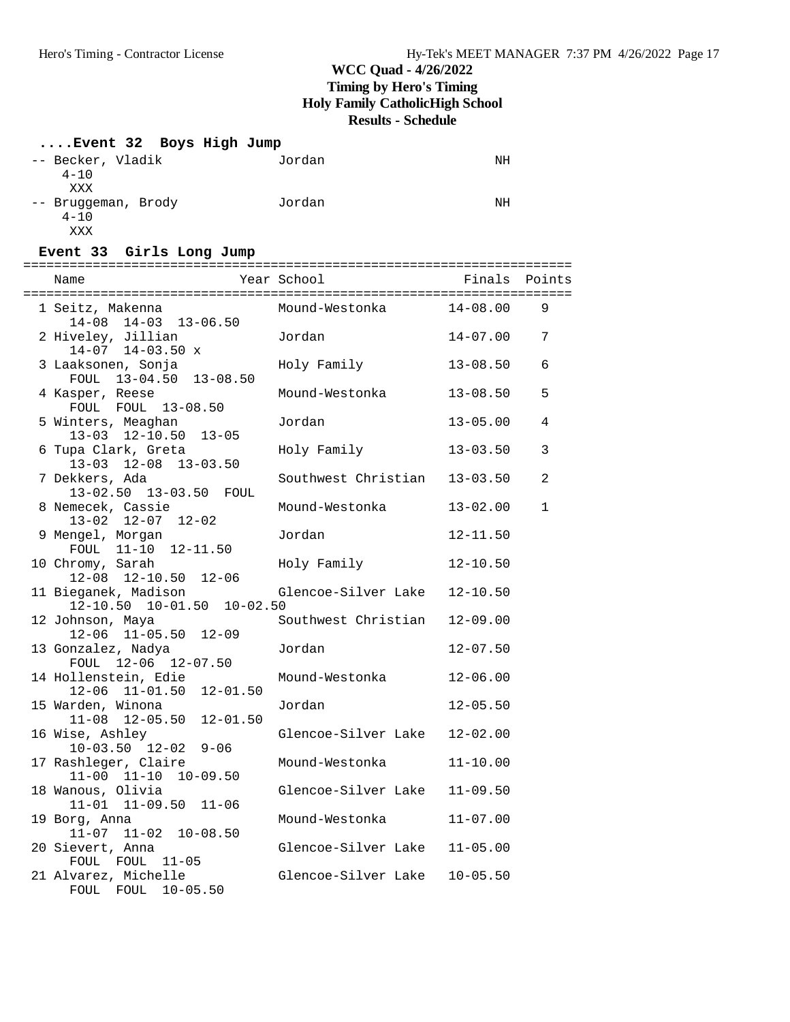# **....Event 32 Boys High Jump**

| -- Becker, Vladik   | Jordan | ΝH |
|---------------------|--------|----|
| $4 - 10$            |        |    |
| XXX                 |        |    |
| -- Bruggeman, Brody | Jordan | ΝH |
| $4 - 10$            |        |    |
| XXX                 |        |    |

### **Event 33 Girls Long Jump**

| 1 Seitz, Makenna<br>14-08 14-03 13-06.50           | Mound-Westonka 14-08.00      |              | 9            |
|----------------------------------------------------|------------------------------|--------------|--------------|
| 2 Hiveley, Jillian<br>$14-07$ $14-03.50$ x         | Jordan                       | 14-07.00     | 7            |
| 3 Laaksonen, Sonja<br>FOUL 13-04.50 13-08.50       | Holy Family                  | $13 - 08.50$ | 6            |
| 4 Kasper, Reese<br>FOUL FOUL 13-08.50              | Mound-Westonka               | 13-08.50     | 5            |
| 5 Winters, Meaghan<br>13-03 12-10.50 13-05         | Jordan                       | $13 - 05.00$ | 4            |
| 6 Tupa Clark, Greta<br>13-03 12-08 13-03.50        | Holy Family                  | $13 - 03.50$ | 3            |
| 7 Dekkers, Ada<br>13-02.50 13-03.50 FOUL           | Southwest Christian 13-03.50 |              | 2            |
| 8 Nemecek, Cassie<br>$13-02$ $12-07$ $12-02$       | Mound-Westonka               | $13 - 02.00$ | $\mathbf{1}$ |
| 9 Mengel, Morgan<br>FOUL 11-10 12-11.50            | Jordan                       | $12 - 11.50$ |              |
| 10 Chromy, Sarah<br>12-08 12-10.50 12-06           | Holy Family                  | $12 - 10.50$ |              |
| 11 Bieganek, Madison<br>12-10.50 10-01.50 10-02.50 | Glencoe-Silver Lake          | $12 - 10.50$ |              |
| 12 Johnson, Maya<br>12-06 11-05.50 12-09           | Southwest Christian          | $12 - 09.00$ |              |
| 13 Gonzalez, Nadya<br>FOUL 12-06 12-07.50          | Jordan                       | $12 - 07.50$ |              |
| 14 Hollenstein, Edie<br>12-06 11-01.50 12-01.50    | Mound-Westonka               | $12 - 06.00$ |              |
| 15 Warden, Winona<br>$11-08$ $12-05.50$ $12-01.50$ | Jordan                       | $12 - 05.50$ |              |
| 16 Wise, Ashley<br>$10-03.50$ $12-02$ $9-06$       | Glencoe-Silver Lake          | $12 - 02.00$ |              |
| 17 Rashleger, Claire<br>$11-00$ $11-10$ $10-09.50$ | Mound-Westonka               | $11 - 10.00$ |              |
| 18 Wanous, Olivia<br>11-01 11-09.50 11-06          | Glencoe-Silver Lake          | $11 - 09.50$ |              |
| 19 Borg, Anna<br>$11-07$ $11-02$ $10-08.50$        | Mound-Westonka               | $11 - 07.00$ |              |
| 20 Sievert, Anna<br>FOUL FOUL 11-05                | Glencoe-Silver Lake          | $11 - 05.00$ |              |
| 21 Alvarez, Michelle<br>FOUL FOUL 10-05.50         | Glencoe-Silver Lake 10-05.50 |              |              |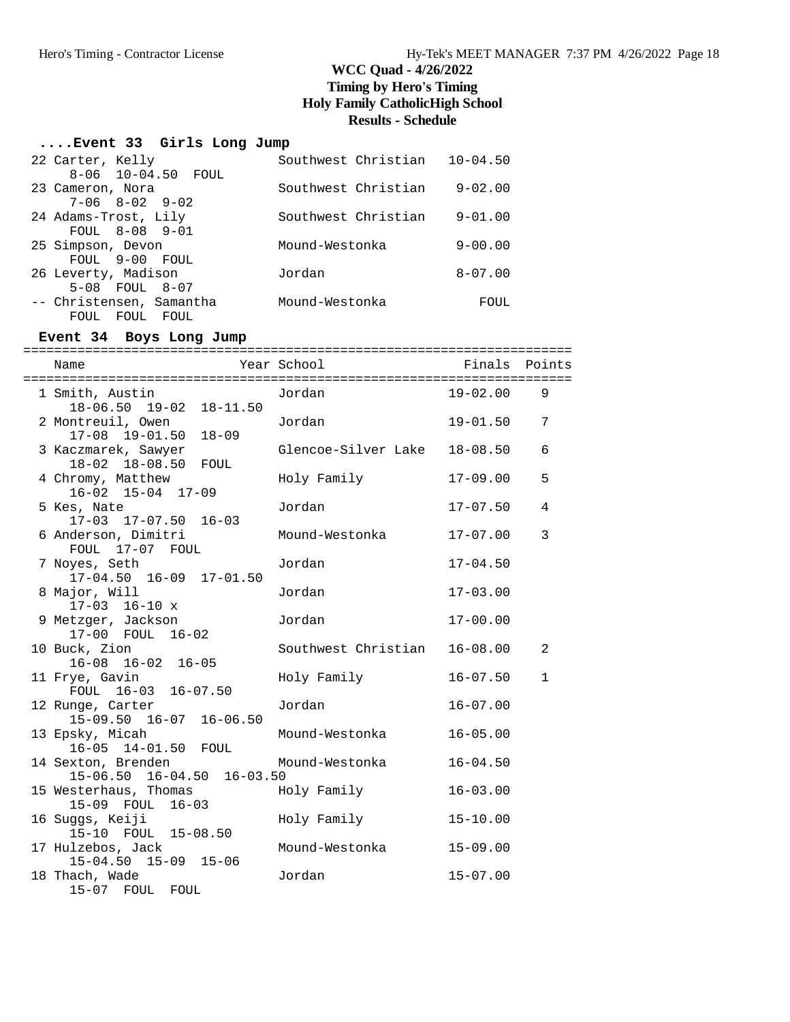### **....Event 33 Girls Long Jump**

| 22 Carter, Kelly            | Southwest Christian | $10 - 04.50$ |
|-----------------------------|---------------------|--------------|
| 8-06 10-04.50 FOUL          |                     |              |
| 23 Cameron, Nora            | Southwest Christian | $9 - 02.00$  |
| $7 - 06$ $8 - 02$ $9 - 02$  |                     |              |
| 24 Adams-Trost, Lily        | Southwest Christian | $9 - 01.00$  |
| FOUL 8-08 9-01              |                     |              |
| 25 Simpson, Devon           | Mound-Westonka      | $9 - 00.00$  |
| FOUL 9-00 FOUL              |                     |              |
| 26 Leverty, Madison         | Jordan              | $8 - 07.00$  |
| $5-0.8$ FOUL $8-0.7$        |                     |              |
| -- Christensen, Samantha    | Mound-Westonka      | FOUL         |
| <b>FOUL</b><br>FOUL<br>FOUL |                     |              |

### **Event 34 Boys Long Jump**

| Name                                                 | Year School <a> Finals Points</a> |              |              |
|------------------------------------------------------|-----------------------------------|--------------|--------------|
| 1 Smith, Austin<br>18-06.50 19-02 18-11.50           | Jordan                            | $19 - 02.00$ | 9            |
| 2 Montreuil, Owen<br>$17-08$ $19-01.50$<br>$18 - 09$ | Jordan                            | $19 - 01.50$ | 7            |
| 3 Kaczmarek, Sawyer<br>18-02 18-08.50 FOUL           | Glencoe-Silver Lake               | $18 - 08.50$ | 6            |
| 4 Chromy, Matthew<br>16-02 15-04 17-09               | Holy Family                       | $17 - 09.00$ | 5            |
| 5 Kes, Nate<br>17-03 17-07.50 16-03                  | Jordan                            | $17 - 07.50$ | 4            |
| 6 Anderson, Dimitri<br>FOUL 17-07 FOUL               | Mound-Westonka                    | $17 - 07.00$ | 3            |
| 7 Noyes, Seth<br>17-04.50 16-09 17-01.50             | Jordan                            | $17 - 04.50$ |              |
| 8 Major, Will<br>$17-03$ $16-10$ x                   | Jordan                            | $17 - 03.00$ |              |
| 9 Metzger, Jackson<br>17-00 FOUL 16-02               | Jordan                            | $17 - 00.00$ |              |
| 10 Buck, Zion<br>$16-08$ $16-02$ $16-05$             | Southwest Christian               | $16 - 08.00$ | 2            |
| 11 Frye, Gavin<br>FOUL 16-03 16-07.50                | Holy Family                       | $16 - 07.50$ | $\mathbf{1}$ |
| 12 Runge, Carter<br>15-09.50 16-07 16-06.50          | Jordan                            | $16 - 07.00$ |              |
| 13 Epsky, Micah<br>16-05 14-01.50 FOUL               | Mound-Westonka                    | $16 - 05.00$ |              |
| 14 Sexton, Brenden<br>15-06.50 16-04.50 16-03.50     | Mound-Westonka                    | $16 - 04.50$ |              |
| 15 Westerhaus, Thomas<br>15-09 FOUL 16-03            | Holy Family                       | $16 - 03.00$ |              |
| 16 Suggs, Keiji<br>15-10 FOUL 15-08.50               | Holy Family                       | $15 - 10.00$ |              |
| 17 Hulzebos, Jack<br>15-04.50 15-09 15-06            | Mound-Westonka                    | $15 - 09.00$ |              |
| 18 Thach, Wade<br>15-07 FOUL FOUL                    | Jordan                            | $15 - 07.00$ |              |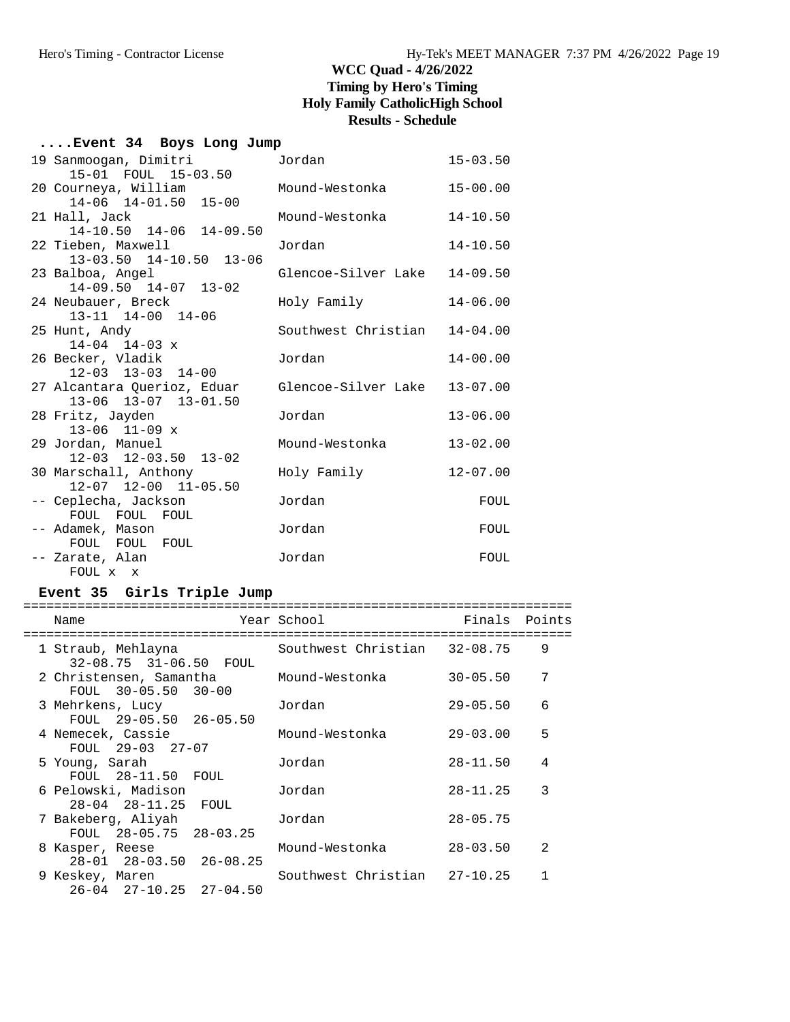| Event 34 Boys Long Jump |  |  |  |  |
|-------------------------|--|--|--|--|
|-------------------------|--|--|--|--|

| 19 Sanmoogan, Dimitri                                                                | Jordan              | $15 - 03.50$ |
|--------------------------------------------------------------------------------------|---------------------|--------------|
| 15-01 FOUL 15-03.50<br>20 Courneya, William                                          | Mound-Westonka      | $15 - 00.00$ |
| 14-06 14-01.50 15-00                                                                 |                     |              |
| 21 Hall, Jack<br>14-10.50 14-06 14-09.50                                             | Mound-Westonka      | $14 - 10.50$ |
| 22 Tieben, Maxwell                                                                   | Jordan              | $14 - 10.50$ |
| 13-03.50 14-10.50 13-06<br>23 Balboa, Angel                                          | Glencoe-Silver Lake | $14 - 09.50$ |
| $14-09.50$ $14-07$ $13-02$<br>24 Neubauer, Breck                                     | Holy Family         | $14 - 06.00$ |
| 13-11 14-00 14-06<br>25 Hunt, Andy<br>$14 - 04$ $14 - 03$ x                          | Southwest Christian | $14 - 04.00$ |
| 26 Becker, Vladik                                                                    | Jordan              | $14 - 00.00$ |
| $12 - 03$ $13 - 03$ $14 - 00$<br>27 Alcantara Querioz, Eduar<br>13-06 13-07 13-01.50 | Glencoe-Silver Lake | $13 - 07.00$ |
| 28 Fritz, Jayden<br>$13-06$ $11-09$ x                                                | Jordan              | $13 - 06.00$ |
| 29 Jordan, Manuel<br>12-03 12-03.50 13-02                                            | Mound-Westonka      | $13 - 02.00$ |
| 30 Marschall, Anthony<br>12-07 12-00 11-05.50                                        | Holy Family         | $12 - 07.00$ |
| -- Ceplecha, Jackson<br>FOUL FOUL FOUL                                               | Jordan              | FOUL         |
| -- Adamek, Mason<br>FOUL FOUL FOUL                                                   | Jordan              | FOUL         |
| -- Zarate, Alan<br>FOUL x x                                                          | Jordan              | FOUL         |

### **Event 35 Girls Triple Jump**

| Name                                                         | Year School States and the School | Finals       | Points         |
|--------------------------------------------------------------|-----------------------------------|--------------|----------------|
| 1 Straub, Mehlayna<br>32-08.75 31-06.50 FOUL                 | Southwest Christian               | $32 - 08.75$ | 9              |
| 2 Christensen, Samantha<br>FOUL 30-05.50 30-00               | Mound-Westonka                    | $30 - 05.50$ | 7              |
| 3 Mehrkens, Lucy<br>FOUL $29-05.50$ $26-05.50$               | Jordan                            | $29 - 05.50$ | 6              |
| 4 Nemecek, Cassie<br>FOUL 29-03 27-07                        | Mound-Westonka                    | $29 - 03.00$ | 5              |
| 5 Young, Sarah<br>$FOUL$ $28-11.50$ $FOUL$                   | Jordan                            | $28 - 11.50$ | 4              |
| 6 Pelowski, Madison<br>28-04 28-11.25 FOUL                   | Jordan                            | $28 - 11.25$ | 3              |
| 7 Bakeberg, Aliyah<br>FOUL 28-05.75 28-03.25                 | Jordan                            | $28 - 05.75$ |                |
| 8 Kasper, Reese<br>$28 - 01$ $28 - 03.50$ $26 - 08.25$       | Mound-Westonka                    | $28 - 03.50$ | $\mathfrak{D}$ |
| 9 Keskey, Maren<br>$26 - 04$ $27 - 10$ , $25$ $27 - 04$ , 50 | Southwest Christian 27-10.25      |              |                |